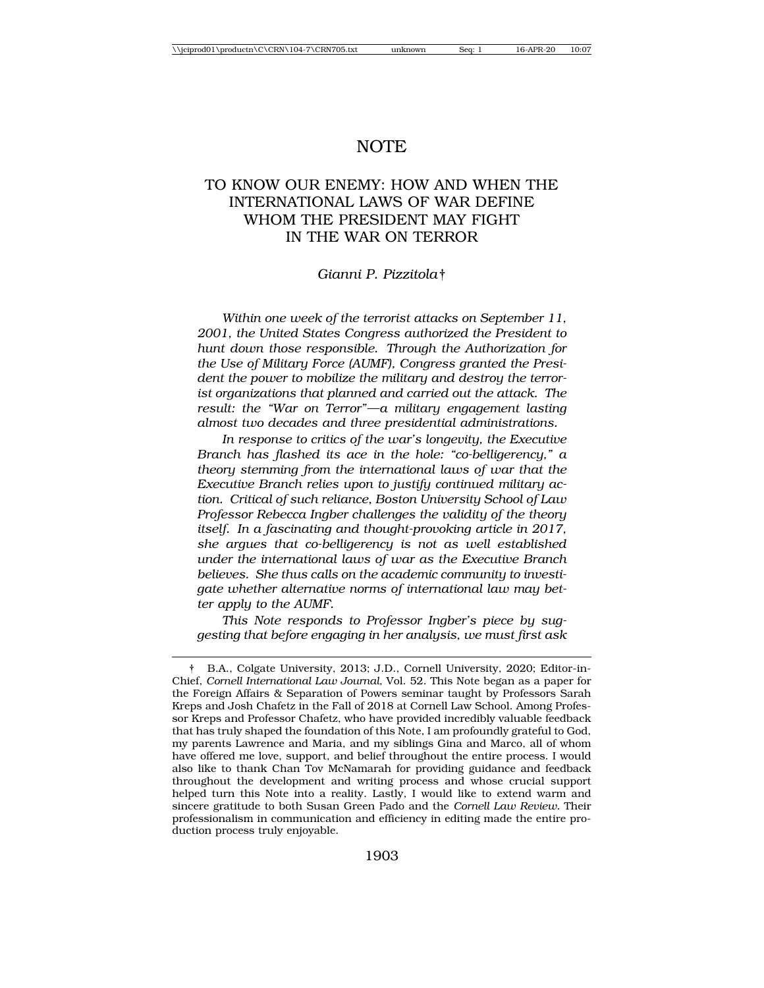# NOTE

# TO KNOW OUR ENEMY: HOW AND WHEN THE INTERNATIONAL LAWS OF WAR DEFINE WHOM THE PRESIDENT MAY FIGHT IN THE WAR ON TERROR

#### *Gianni P. Pizzitola*†

*Within one week of the terrorist attacks on September 11, 2001, the United States Congress authorized the President to hunt down those responsible. Through the Authorization for the Use of Military Force (AUMF), Congress granted the President the power to mobilize the military and destroy the terrorist organizations that planned and carried out the attack. The result: the "War on Terror"—a military engagement lasting almost two decades and three presidential administrations.*

*In response to critics of the war's longevity, the Executive Branch has flashed its ace in the hole: "co-belligerency," a theory stemming from the international laws of war that the Executive Branch relies upon to justify continued military action. Critical of such reliance, Boston University School of Law Professor Rebecca Ingber challenges the validity of the theory itself. In a fascinating and thought-provoking article in 2017, she argues that co-belligerency is not as well established under the international laws of war as the Executive Branch believes. She thus calls on the academic community to investigate whether alternative norms of international law may better apply to the AUMF.*

*This Note responds to Professor Ingber's piece by suggesting that before engaging in her analysis, we must first ask*

<sup>†</sup> B.A., Colgate University, 2013; J.D., Cornell University, 2020; Editor-in-Chief, *Cornell International Law Journal,* Vol. 52. This Note began as a paper for the Foreign Affairs & Separation of Powers seminar taught by Professors Sarah Kreps and Josh Chafetz in the Fall of 2018 at Cornell Law School. Among Professor Kreps and Professor Chafetz, who have provided incredibly valuable feedback that has truly shaped the foundation of this Note, I am profoundly grateful to God, my parents Lawrence and Maria, and my siblings Gina and Marco, all of whom have offered me love, support, and belief throughout the entire process. I would also like to thank Chan Tov McNamarah for providing guidance and feedback throughout the development and writing process and whose crucial support helped turn this Note into a reality. Lastly, I would like to extend warm and sincere gratitude to both Susan Green Pado and the *Cornell Law Review.* Their professionalism in communication and efficiency in editing made the entire production process truly enjoyable.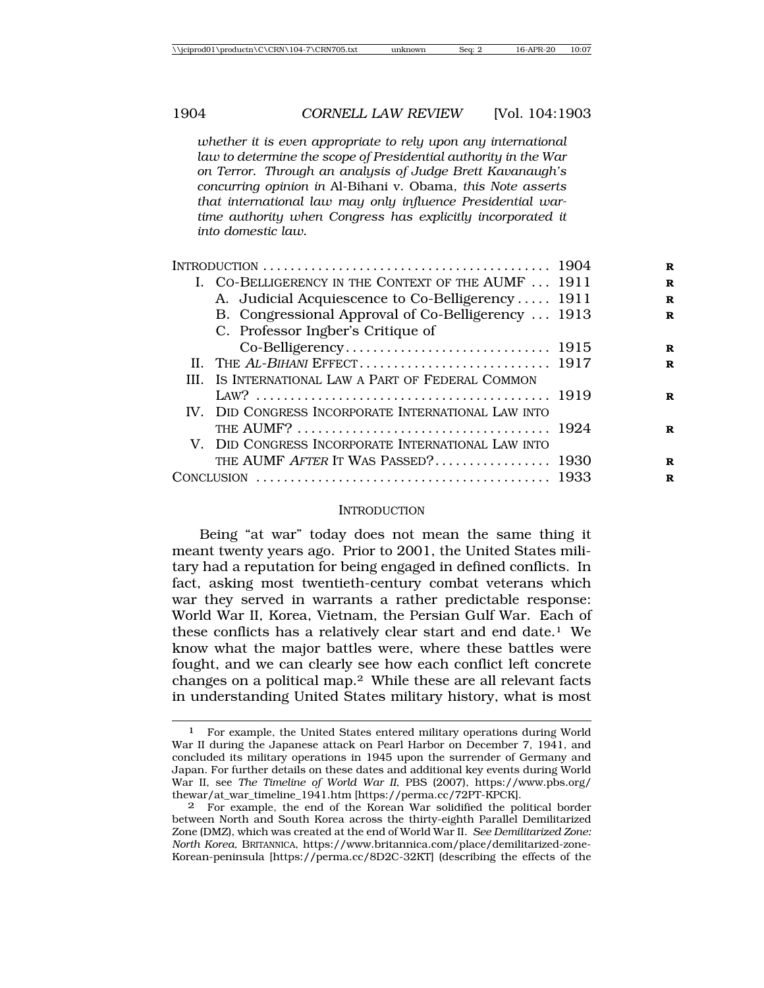*whether it is even appropriate to rely upon any international law to determine the scope of Presidential authority in the War on Terror. Through an analysis of Judge Brett Kavanaugh's concurring opinion in* Al-Bihani v. Obama*, this Note asserts that international law may only influence Presidential wartime authority when Congress has explicitly incorporated it into domestic law.*

| INTRODUCTION $\ldots \ldots \ldots \ldots \ldots \ldots \ldots \ldots \ldots \ldots \ldots \ldots \ldots$ |  |
|-----------------------------------------------------------------------------------------------------------|--|
| I. CO-BELLIGERENCY IN THE CONTEXT OF THE AUMF  1911                                                       |  |
| A. Judicial Acquiescence to Co-Belligerency 1911                                                          |  |
| B. Congressional Approval of Co-Belligerency  1913                                                        |  |
| C. Professor Ingber's Critique of                                                                         |  |
|                                                                                                           |  |
|                                                                                                           |  |
| III. IS INTERNATIONAL LAW A PART OF FEDERAL COMMON                                                        |  |
|                                                                                                           |  |
| IV. DID CONGRESS INCORPORATE INTERNATIONAL LAW INTO                                                       |  |
|                                                                                                           |  |
| V. DID CONGRESS INCORPORATE INTERNATIONAL LAW INTO                                                        |  |
| THE AUMF AFTER IT WAS PASSED? 1930                                                                        |  |
|                                                                                                           |  |
|                                                                                                           |  |

#### INTRODUCTION

Being "at war" today does not mean the same thing it meant twenty years ago. Prior to 2001, the United States military had a reputation for being engaged in defined conflicts. In fact, asking most twentieth-century combat veterans which war they served in warrants a rather predictable response: World War II, Korea, Vietnam, the Persian Gulf War. Each of these conflicts has a relatively clear start and end date.<sup>1</sup> We know what the major battles were, where these battles were fought, and we can clearly see how each conflict left concrete changes on a political map.2 While these are all relevant facts in understanding United States military history, what is most

<sup>1</sup> For example, the United States entered military operations during World War II during the Japanese attack on Pearl Harbor on December 7, 1941, and concluded its military operations in 1945 upon the surrender of Germany and Japan. For further details on these dates and additional key events during World War II, see *The Timeline of World War II*, PBS (2007), https://www.pbs.org/ thewar/at\_war\_timeline\_1941.htm [https://perma.cc/72PT-KPCK].

<sup>2</sup> For example, the end of the Korean War solidified the political border between North and South Korea across the thirty-eighth Parallel Demilitarized Zone (DMZ), which was created at the end of World War II. *See Demilitarized Zone: North Korea,* BRITANNICA, https://www.britannica.com/place/demilitarized-zone-Korean-peninsula [https://perma.cc/8D2C-32KT] (describing the effects of the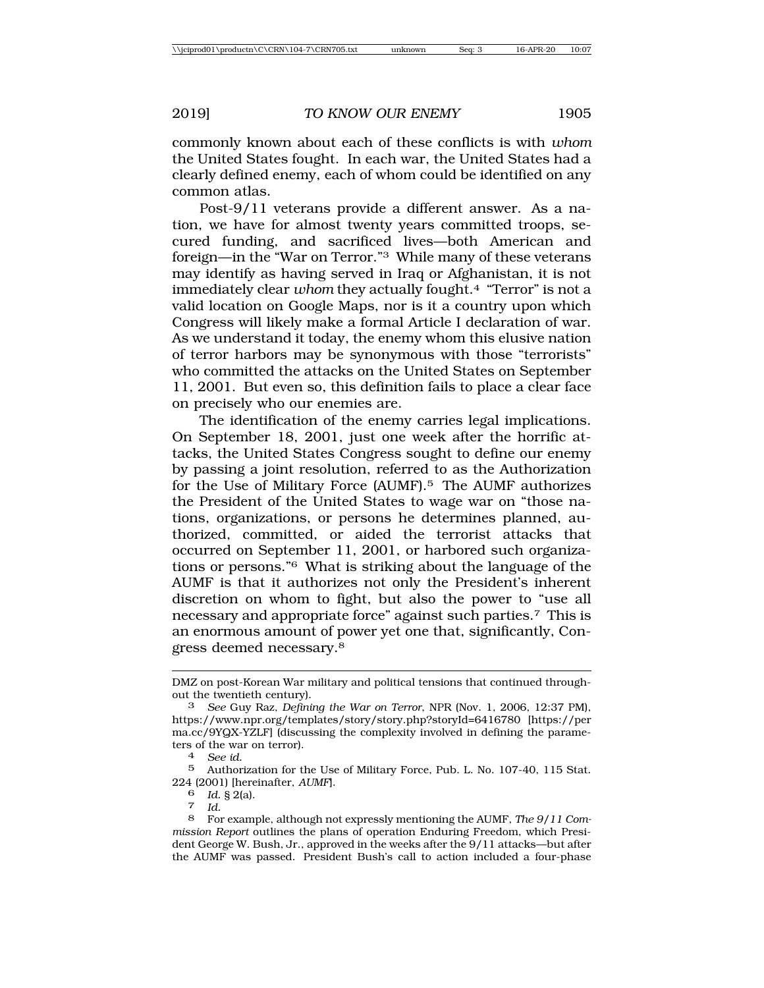commonly known about each of these conflicts is with *whom* the United States fought. In each war, the United States had a clearly defined enemy, each of whom could be identified on any common atlas.

Post-9/11 veterans provide a different answer. As a nation, we have for almost twenty years committed troops, secured funding, and sacrificed lives—both American and foreign—in the "War on Terror."3 While many of these veterans may identify as having served in Iraq or Afghanistan, it is not immediately clear *whom* they actually fought.4 "Terror" is not a valid location on Google Maps, nor is it a country upon which Congress will likely make a formal Article I declaration of war. As we understand it today, the enemy whom this elusive nation of terror harbors may be synonymous with those "terrorists" who committed the attacks on the United States on September 11, 2001. But even so, this definition fails to place a clear face on precisely who our enemies are.

The identification of the enemy carries legal implications. On September 18, 2001, just one week after the horrific attacks, the United States Congress sought to define our enemy by passing a joint resolution, referred to as the Authorization for the Use of Military Force (AUMF).5 The AUMF authorizes the President of the United States to wage war on "those nations, organizations, or persons he determines planned, authorized, committed, or aided the terrorist attacks that occurred on September 11, 2001, or harbored such organizations or persons."6 What is striking about the language of the AUMF is that it authorizes not only the President's inherent discretion on whom to fight, but also the power to "use all necessary and appropriate force" against such parties.7 This is an enormous amount of power yet one that, significantly, Congress deemed necessary.8

5 Authorization for the Use of Military Force, Pub. L. No. 107-40, 115 Stat. 224 (2001) [hereinafter, *AUMF*].

<sup>6</sup> *Id.* § 2(a). <sup>7</sup> *Id.*

DMZ on post-Korean War military and political tensions that continued throughout the twentieth century).

<sup>3</sup> *See* Guy Raz, *Defining the War on Terror*, NPR (Nov. 1, 2006, 12:37 PM), https://www.npr.org/templates/story/story.php?storyId=6416780 [https://per ma.cc/9YQX-YZLF] (discussing the complexity involved in defining the parameters of the war on terror). <sup>4</sup> *See id.*

<sup>8</sup> For example, although not expressly mentioning the AUMF, *The 9/11 Commission Report* outlines the plans of operation Enduring Freedom, which President George W. Bush, Jr., approved in the weeks after the 9/11 attacks—but after the AUMF was passed. President Bush's call to action included a four-phase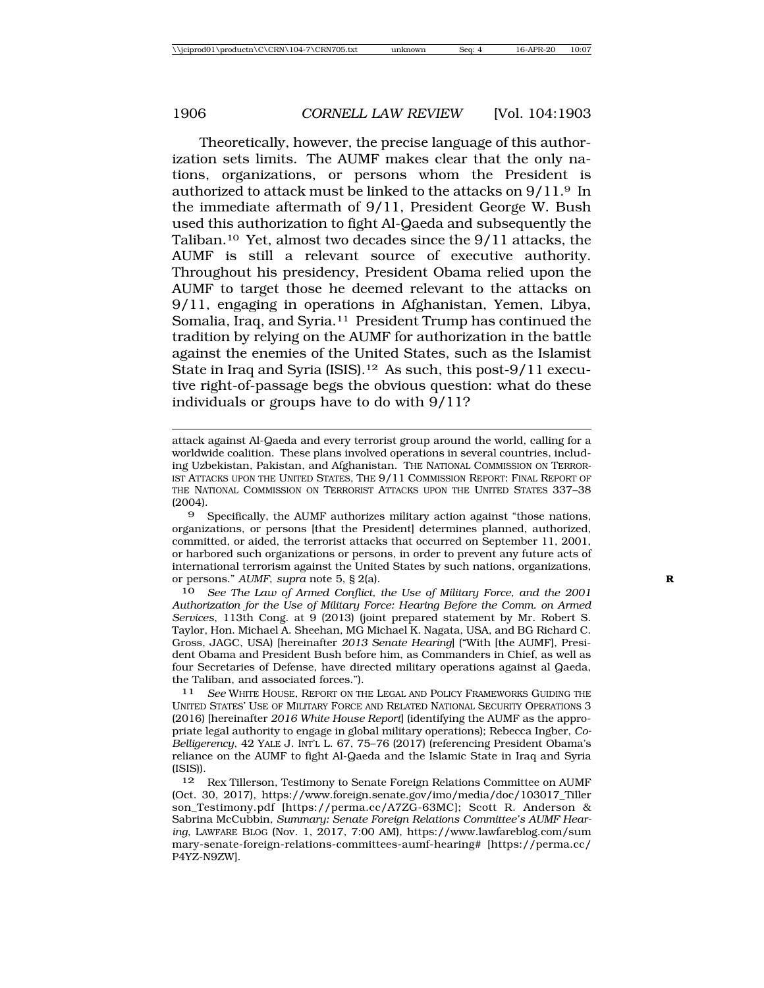Theoretically, however, the precise language of this authorization sets limits. The AUMF makes clear that the only nations, organizations, or persons whom the President is authorized to attack must be linked to the attacks on 9/11.9 In the immediate aftermath of 9/11, President George W. Bush used this authorization to fight Al-Qaeda and subsequently the Taliban.10 Yet, almost two decades since the 9/11 attacks, the AUMF is still a relevant source of executive authority. Throughout his presidency, President Obama relied upon the AUMF to target those he deemed relevant to the attacks on 9/11, engaging in operations in Afghanistan, Yemen, Libya, Somalia, Iraq, and Syria.<sup>11</sup> President Trump has continued the tradition by relying on the AUMF for authorization in the battle against the enemies of the United States, such as the Islamist State in Iraq and Syria (ISIS).12 As such, this post-9/11 executive right-of-passage begs the obvious question: what do these individuals or groups have to do with 9/11?

9 Specifically, the AUMF authorizes military action against "those nations, organizations, or persons [that the President] determines planned, authorized, committed, or aided, the terrorist attacks that occurred on September 11, 2001, or harbored such organizations or persons, in order to prevent any future acts of international terrorism against the United States by such nations, organizations, or persons." *AUMF*, *supra* note 5, § 2(a). **R**

10 *See The Law of Armed Conflict, the Use of Military Force, and the 2001 Authorization for the Use of Military Force: Hearing Before the Comm. on Armed Services*, 113th Cong. at 9 (2013) (joint prepared statement by Mr. Robert S. Taylor, Hon. Michael A. Sheehan, MG Michael K. Nagata, USA, and BG Richard C. Gross, JAGC, USA) [hereinafter *2013 Senate Hearing*] ("With [the AUMF], President Obama and President Bush before him, as Commanders in Chief, as well as four Secretaries of Defense, have directed military operations against al Qaeda, the Taliban, and associated forces.").

11 *See* WHITE HOUSE, REPORT ON THE LEGAL AND POLICY FRAMEWORKS GUIDING THE UNITED STATES' USE OF MILITARY FORCE AND RELATED NATIONAL SECURITY OPERATIONS 3 (2016) [hereinafter *2016 White House Report*] (identifying the AUMF as the appropriate legal authority to engage in global military operations); Rebecca Ingber, *Co-Belligerency*, 42 YALE J. INT'L L. 67, 75–76 (2017) (referencing President Obama's reliance on the AUMF to fight Al-Qaeda and the Islamic State in Iraq and Syria (ISIS)).

12 Rex Tillerson, Testimony to Senate Foreign Relations Committee on AUMF (Oct. 30, 2017), https://www.foreign.senate.gov/imo/media/doc/103017\_Tiller son\_Testimony.pdf [https://perma.cc/A7ZG-63MC]; Scott R. Anderson & Sabrina McCubbin, *Summary: Senate Foreign Relations Committee's AUMF Hearing*, LAWFARE BLOG (Nov. 1, 2017, 7:00 AM), https://www.lawfareblog.com/sum mary-senate-foreign-relations-committees-aumf-hearing# [https://perma.cc/ P4YZ-N9ZW].

attack against Al-Qaeda and every terrorist group around the world, calling for a worldwide coalition. These plans involved operations in several countries, including Uzbekistan, Pakistan, and Afghanistan. THE NATIONAL COMMISSION ON TERROR-IST ATTACKS UPON THE UNITED STATES, THE 9/11 COMMISSION REPORT: FINAL REPORT OF THE NATIONAL COMMISSION ON TERRORIST ATTACKS UPON THE UNITED STATES 337–38 (2004).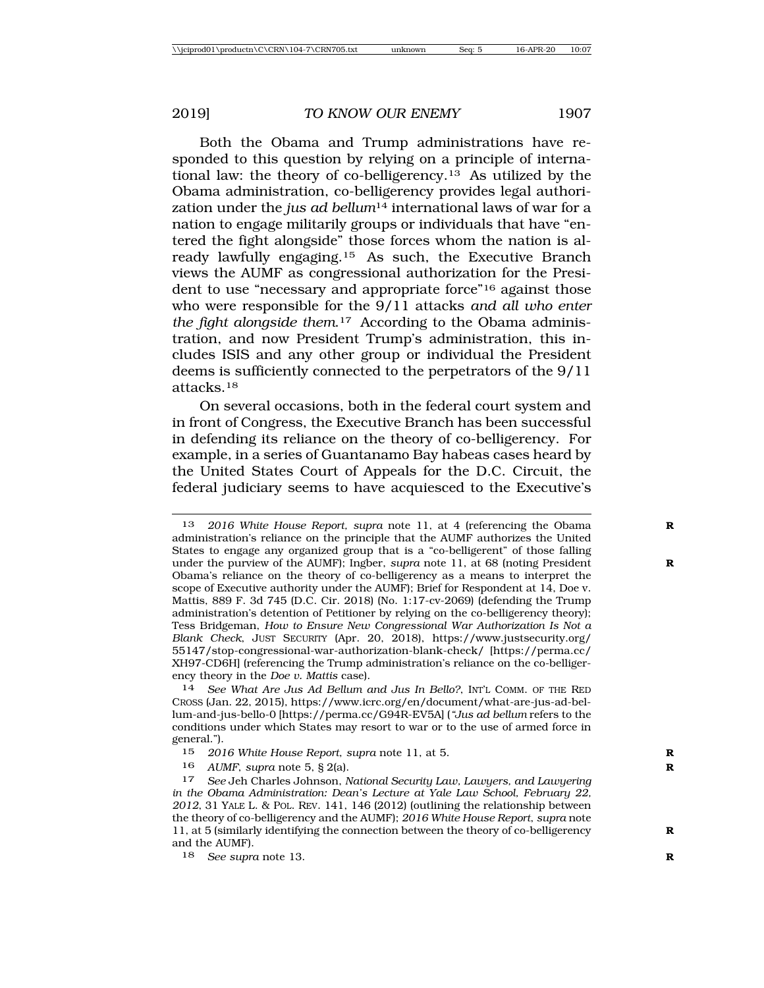Both the Obama and Trump administrations have responded to this question by relying on a principle of international law: the theory of co-belligerency.13 As utilized by the Obama administration, co-belligerency provides legal authorization under the *jus ad bellum*14 international laws of war for a nation to engage militarily groups or individuals that have "entered the fight alongside" those forces whom the nation is already lawfully engaging.15 As such, the Executive Branch views the AUMF as congressional authorization for the President to use "necessary and appropriate force"16 against those who were responsible for the 9/11 attacks *and all who enter the fight alongside them*.17 According to the Obama administration, and now President Trump's administration, this includes ISIS and any other group or individual the President deems is sufficiently connected to the perpetrators of the 9/11 attacks.18

On several occasions, both in the federal court system and in front of Congress, the Executive Branch has been successful in defending its reliance on the theory of co-belligerency. For example, in a series of Guantanamo Bay habeas cases heard by the United States Court of Appeals for the D.C. Circuit, the federal judiciary seems to have acquiesced to the Executive's

14 *See What Are Jus Ad Bellum and Jus In Bello?*, INT'L COMM. OF THE RED CROSS (Jan. 22, 2015), https://www.icrc.org/en/document/what-are-jus-ad-bellum-and-jus-bello-0 [https://perma.cc/G94R-EV5A] (*"Jus ad bellum* refers to the conditions under which States may resort to war or to the use of armed force in general.").

<sup>13</sup> *2016 White House Report, supra* note 11, at 4 (referencing the Obama **R** administration's reliance on the principle that the AUMF authorizes the United States to engage any organized group that is a "co-belligerent" of those falling under the purview of the AUMF); Ingber, *supra* note 11, at 68 (noting President **R** Obama's reliance on the theory of co-belligerency as a means to interpret the scope of Executive authority under the AUMF); Brief for Respondent at 14, Doe v. Mattis, 889 F. 3d 745 (D.C. Cir. 2018) (No. 1:17-cv-2069) (defending the Trump administration's detention of Petitioner by relying on the co-belligerency theory); Tess Bridgeman, *How to Ensure New Congressional War Authorization Is Not a Blank Check*, JUST SECURITY (Apr. 20, 2018), https://www.justsecurity.org/ 55147/stop-congressional-war-authorization-blank-check/ [https://perma.cc/ XH97-CD6H] (referencing the Trump administration's reliance on the co-belligerency theory in the *Doe v. Mattis* case).

<sup>15</sup> *2016 White House Report*, *supra* note 11, at 5. **R**

<sup>16</sup> *AUMF*, *supra* note 5, § 2(a). **R**

<sup>17</sup> *See* Jeh Charles Johnson, *National Security Law, Lawyers, and Lawyering in the Obama Administration: Dean's Lecture at Yale Law School, February 22, 2012*, 31 YALE L. & POL. REV. 141, 146 (2012) (outlining the relationship between the theory of co-belligerency and the AUMF); *2016 White House Report*, *supra* note 11, at 5 (similarly identifying the connection between the theory of co-belligerency **R** and the AUMF).

<sup>18</sup> *See supra* note 13. **R**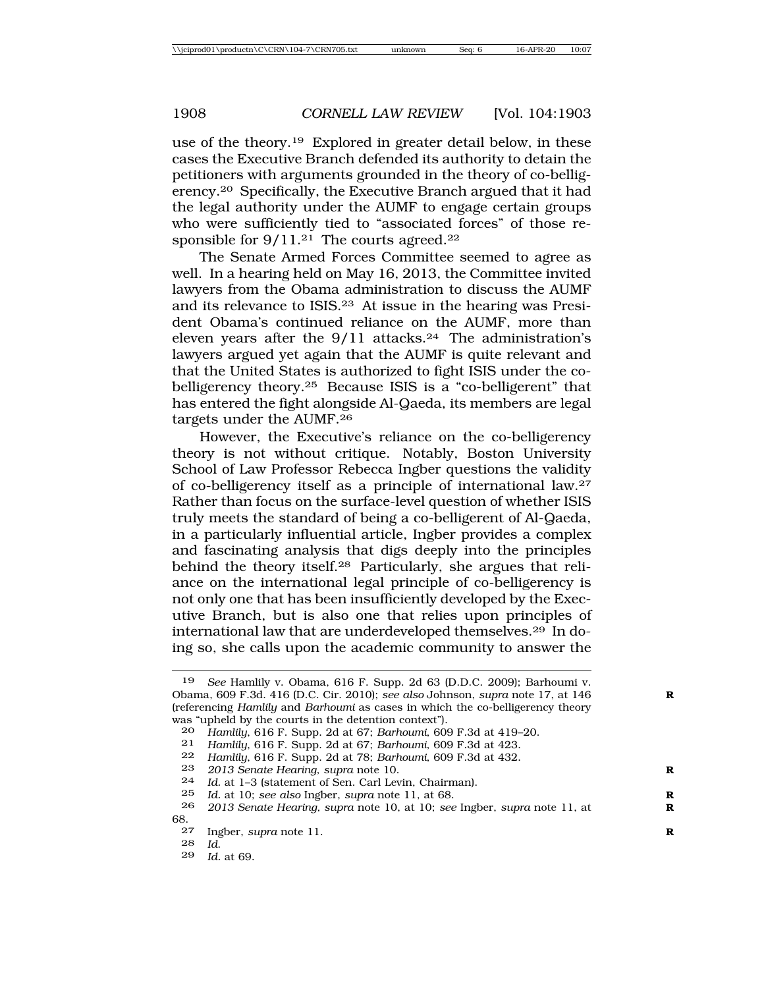use of the theory.19 Explored in greater detail below, in these cases the Executive Branch defended its authority to detain the petitioners with arguments grounded in the theory of co-belligerency.<sup>20</sup> Specifically, the Executive Branch argued that it had the legal authority under the AUMF to engage certain groups who were sufficiently tied to "associated forces" of those responsible for  $9/11^{21}$  The courts agreed.<sup>22</sup>

The Senate Armed Forces Committee seemed to agree as well. In a hearing held on May 16, 2013, the Committee invited lawyers from the Obama administration to discuss the AUMF and its relevance to ISIS.23 At issue in the hearing was President Obama's continued reliance on the AUMF, more than eleven years after the  $9/11$  attacks.<sup>24</sup> The administration's lawyers argued yet again that the AUMF is quite relevant and that the United States is authorized to fight ISIS under the cobelligerency theory.25 Because ISIS is a "co-belligerent" that has entered the fight alongside Al-Qaeda, its members are legal targets under the AUMF.26

However, the Executive's reliance on the co-belligerency theory is not without critique. Notably, Boston University School of Law Professor Rebecca Ingber questions the validity of co-belligerency itself as a principle of international law.27 Rather than focus on the surface-level question of whether ISIS truly meets the standard of being a co-belligerent of Al-Qaeda, in a particularly influential article, Ingber provides a complex and fascinating analysis that digs deeply into the principles behind the theory itself.28 Particularly, she argues that reliance on the international legal principle of co-belligerency is not only one that has been insufficiently developed by the Executive Branch, but is also one that relies upon principles of international law that are underdeveloped themselves.29 In doing so, she calls upon the academic community to answer the

<sup>19</sup> *See* Hamlily v. Obama, 616 F. Supp. 2d 63 (D.D.C. 2009); Barhoumi v. Obama, 609 F.3d. 416 (D.C. Cir. 2010); *see also* Johnson, *supra* note 17, at 146 **R** (referencing *Hamlily* and *Barhoumi* as cases in which the co-belligerency theory was "upheld by the courts in the detention context").

<sup>20</sup> *Hamlily*, 616 F. Supp. 2d at 67; *Barhoumi*, 609 F.3d at 419–20.

<sup>21</sup> *Hamlily*, 616 F. Supp. 2d at 67; *Barhoumi*, 609 F.3d at 423.

<sup>22</sup> *Hamlily*, 616 F. Supp. 2d at 78; *Barhoumi*, 609 F.3d at 432.

<sup>23</sup> *2013 Senate Hearing*, *supra* note 10.<br>24 *Id at 1-3 (statement of Sen. Carl Lev* 

<sup>24</sup> *Id.* at 1–3 (statement of Sen. Carl Levin, Chairman).<br>25 *Id at 10: see also Ingher supra note* 11 at 68

<sup>25</sup> *Id.* at 10; *see also* Ingber, *supra* note 11, at 68. **R**

<sup>26</sup> *2013 Senate Hearing, supra* note 10, at 10; *see* Ingber, *supra* note 11, at **R**  $\begin{array}{c} 68. \\ 27 \end{array}$ 

<sup>27</sup> Ingber, *supra* note 11.<br>28 Id

<sup>28</sup> *Id*. <sup>29</sup> *Id.* at 69.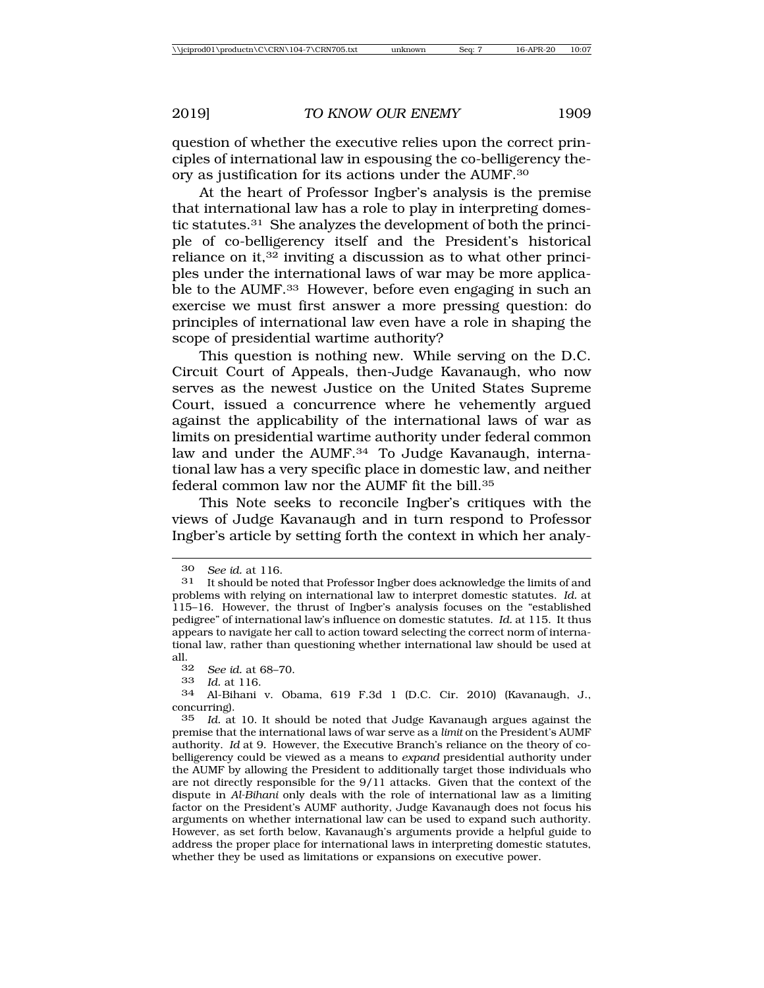question of whether the executive relies upon the correct principles of international law in espousing the co-belligerency theory as justification for its actions under the AUMF.30

At the heart of Professor Ingber's analysis is the premise that international law has a role to play in interpreting domestic statutes.31 She analyzes the development of both the principle of co-belligerency itself and the President's historical reliance on it, $32$  inviting a discussion as to what other principles under the international laws of war may be more applicable to the AUMF.33 However, before even engaging in such an exercise we must first answer a more pressing question: do principles of international law even have a role in shaping the scope of presidential wartime authority?

This question is nothing new. While serving on the D.C. Circuit Court of Appeals, then-Judge Kavanaugh, who now serves as the newest Justice on the United States Supreme Court, issued a concurrence where he vehemently argued against the applicability of the international laws of war as limits on presidential wartime authority under federal common law and under the AUMF.<sup>34</sup> To Judge Kavanaugh, international law has a very specific place in domestic law, and neither federal common law nor the AUMF fit the bill.<sup>35</sup>

This Note seeks to reconcile Ingber's critiques with the views of Judge Kavanaugh and in turn respond to Professor Ingber's article by setting forth the context in which her analy-

<sup>30</sup> *See id.* at 116.

<sup>31</sup> It should be noted that Professor Ingber does acknowledge the limits of and problems with relying on international law to interpret domestic statutes. *Id.* at 115–16. However, the thrust of Ingber's analysis focuses on the "established pedigree" of international law's influence on domestic statutes. *Id.* at 115. It thus appears to navigate her call to action toward selecting the correct norm of international law, rather than questioning whether international law should be used at all.<br> $\frac{32}{ }$ 

<sup>32</sup> *See id.* at 68–70.

<sup>33</sup> *Id.* at 116.

<sup>34</sup> Al-Bihani v. Obama, 619 F.3d 1 (D.C. Cir. 2010) (Kavanaugh, J., concurring).

<sup>35</sup> *Id.* at 10. It should be noted that Judge Kavanaugh argues against the premise that the international laws of war serve as a *limit* on the President's AUMF authority. *Id* at 9*.* However, the Executive Branch's reliance on the theory of cobelligerency could be viewed as a means to *expand* presidential authority under the AUMF by allowing the President to additionally target those individuals who are not directly responsible for the 9/11 attacks. Given that the context of the dispute in *Al-Bihani* only deals with the role of international law as a limiting factor on the President's AUMF authority, Judge Kavanaugh does not focus his arguments on whether international law can be used to expand such authority. However, as set forth below, Kavanaugh's arguments provide a helpful guide to address the proper place for international laws in interpreting domestic statutes, whether they be used as limitations or expansions on executive power.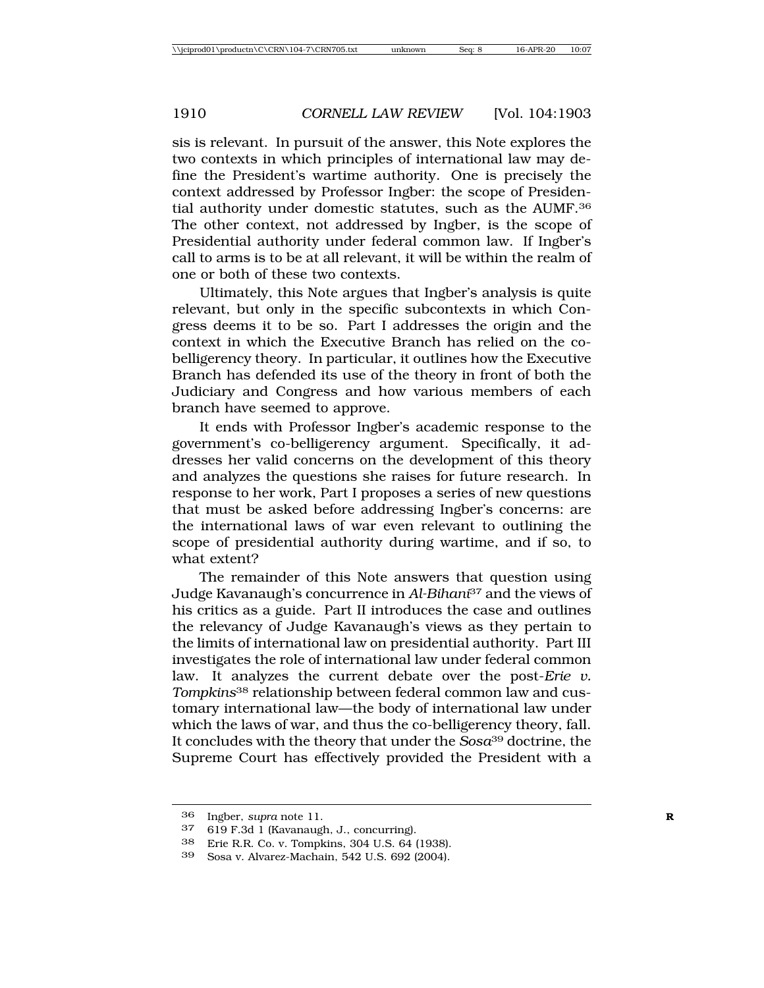sis is relevant. In pursuit of the answer, this Note explores the two contexts in which principles of international law may define the President's wartime authority. One is precisely the context addressed by Professor Ingber: the scope of Presidential authority under domestic statutes, such as the AUMF.36 The other context, not addressed by Ingber, is the scope of Presidential authority under federal common law. If Ingber's call to arms is to be at all relevant, it will be within the realm of one or both of these two contexts.

Ultimately, this Note argues that Ingber's analysis is quite relevant, but only in the specific subcontexts in which Congress deems it to be so. Part I addresses the origin and the context in which the Executive Branch has relied on the cobelligerency theory. In particular, it outlines how the Executive Branch has defended its use of the theory in front of both the Judiciary and Congress and how various members of each branch have seemed to approve.

It ends with Professor Ingber's academic response to the government's co-belligerency argument. Specifically, it addresses her valid concerns on the development of this theory and analyzes the questions she raises for future research. In response to her work, Part I proposes a series of new questions that must be asked before addressing Ingber's concerns: are the international laws of war even relevant to outlining the scope of presidential authority during wartime, and if so, to what extent?

The remainder of this Note answers that question using Judge Kavanaugh's concurrence in *Al-Bihani*37 and the views of his critics as a guide. Part II introduces the case and outlines the relevancy of Judge Kavanaugh's views as they pertain to the limits of international law on presidential authority. Part III investigates the role of international law under federal common law. It analyzes the current debate over the post-*Erie v. Tompkins*38 relationship between federal common law and customary international law—the body of international law under which the laws of war, and thus the co-belligerency theory, fall. It concludes with the theory that under the *Sosa*39 doctrine, the Supreme Court has effectively provided the President with a

<sup>36</sup> Ingber, *supra* note 11.<br>37 619 F 3d 1 (Kavanaud)

<sup>37</sup> 619 F.3d 1 (Kavanaugh, J., concurring).

<sup>38</sup> Erie R.R. Co. v. Tompkins, 304 U.S. 64 (1938).

Sosa v. Alvarez-Machain, 542 U.S. 692 (2004).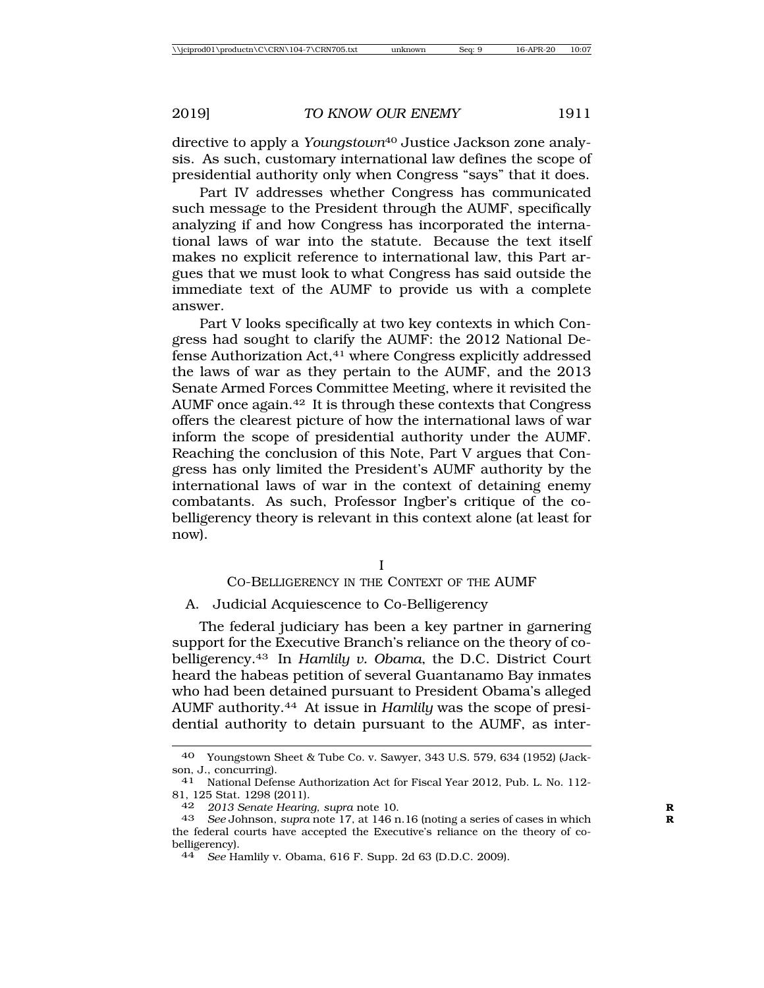directive to apply a *Youngstown*40 Justice Jackson zone analysis. As such, customary international law defines the scope of presidential authority only when Congress "says" that it does.

Part IV addresses whether Congress has communicated such message to the President through the AUMF, specifically analyzing if and how Congress has incorporated the international laws of war into the statute. Because the text itself makes no explicit reference to international law, this Part argues that we must look to what Congress has said outside the immediate text of the AUMF to provide us with a complete answer.

Part V looks specifically at two key contexts in which Congress had sought to clarify the AUMF: the 2012 National Defense Authorization Act,41 where Congress explicitly addressed the laws of war as they pertain to the AUMF, and the 2013 Senate Armed Forces Committee Meeting, where it revisited the AUMF once again.42 It is through these contexts that Congress offers the clearest picture of how the international laws of war inform the scope of presidential authority under the AUMF. Reaching the conclusion of this Note, Part V argues that Congress has only limited the President's AUMF authority by the international laws of war in the context of detaining enemy combatants. As such, Professor Ingber's critique of the cobelligerency theory is relevant in this context alone (at least for now).

I

### CO-BELLIGERENCY IN THE CONTEXT OF THE AUMF

### A. Judicial Acquiescence to Co-Belligerency

The federal judiciary has been a key partner in garnering support for the Executive Branch's reliance on the theory of cobelligerency.43 In *Hamlily v. Obama*, the D.C. District Court heard the habeas petition of several Guantanamo Bay inmates who had been detained pursuant to President Obama's alleged AUMF authority.44 At issue in *Hamlily* was the scope of presidential authority to detain pursuant to the AUMF, as inter-

<sup>40</sup> Youngstown Sheet & Tube Co. v. Sawyer, 343 U.S. 579, 634 (1952) (Jackson, J., concurring).

<sup>41</sup> National Defense Authorization Act for Fiscal Year 2012, Pub. L. No. 112- 81, 125 Stat. 1298 (2011).

<sup>42</sup> *2013 Senate Hearing, supra* note 10. **R**

<sup>43</sup> *See* Johnson, *supra* note 17, at 146 n.16 (noting a series of cases in which **R** the federal courts have accepted the Executive's reliance on the theory of cobelligerency).

<sup>44</sup> *See* Hamlily v. Obama, 616 F. Supp. 2d 63 (D.D.C. 2009).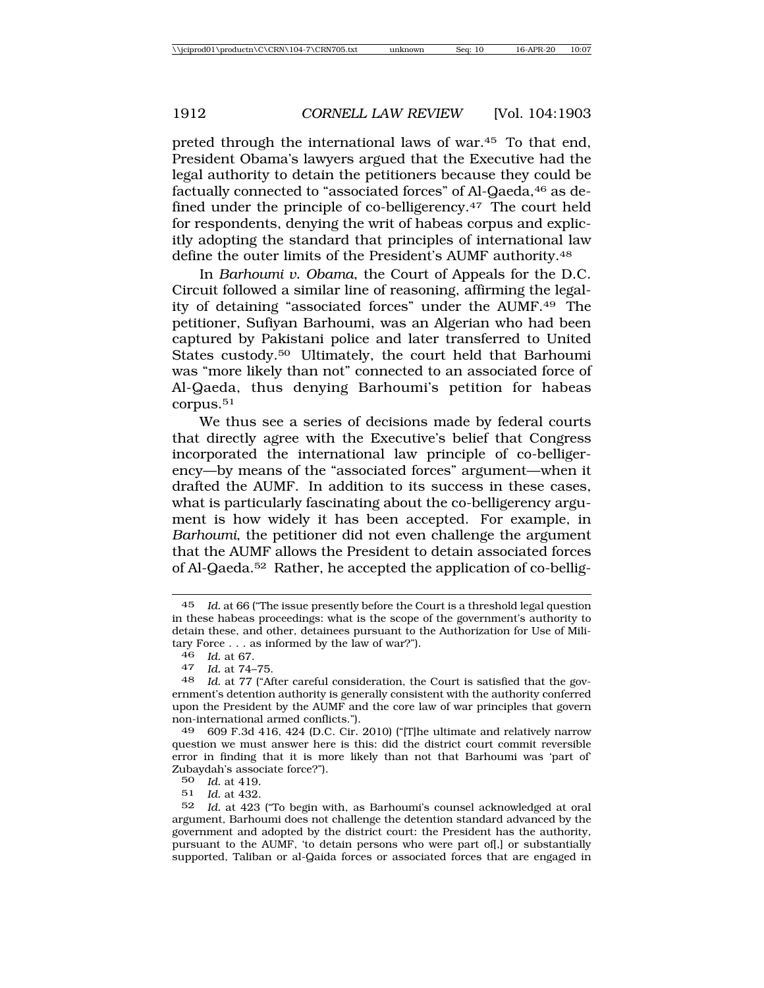preted through the international laws of war.45 To that end, President Obama's lawyers argued that the Executive had the legal authority to detain the petitioners because they could be factually connected to "associated forces" of Al-Qaeda,46 as defined under the principle of co-belligerency.47 The court held for respondents, denying the writ of habeas corpus and explicitly adopting the standard that principles of international law define the outer limits of the President's AUMF authority.48

In *Barhoumi v. Obama*, the Court of Appeals for the D.C. Circuit followed a similar line of reasoning, affirming the legality of detaining "associated forces" under the AUMF.49 The petitioner, Sufiyan Barhoumi, was an Algerian who had been captured by Pakistani police and later transferred to United States custody.50 Ultimately, the court held that Barhoumi was "more likely than not" connected to an associated force of Al-Qaeda, thus denying Barhoumi's petition for habeas corpus.51

We thus see a series of decisions made by federal courts that directly agree with the Executive's belief that Congress incorporated the international law principle of co-belligerency—by means of the "associated forces" argument—when it drafted the AUMF. In addition to its success in these cases, what is particularly fascinating about the co-belligerency argument is how widely it has been accepted. For example, in *Barhoumi*, the petitioner did not even challenge the argument that the AUMF allows the President to detain associated forces of Al-Qaeda.52 Rather, he accepted the application of co-bellig-

<sup>46</sup> *Id.* at 67. <sup>47</sup> *Id.* at 74–75.

49 609 F.3d 416, 424 (D.C. Cir. 2010) ("[T]he ultimate and relatively narrow question we must answer here is this: did the district court commit reversible error in finding that it is more likely than not that Barhoumi was 'part of' Zubaydah's associate force?").

50 *Id.* at 419.

*Id.* at 432.

<sup>45</sup> *Id.* at 66 ("The issue presently before the Court is a threshold legal question in these habeas proceedings: what is the scope of the government's authority to detain these, and other, detainees pursuant to the Authorization for Use of Military Force . . . as informed by the law of war?").

<sup>48</sup> *Id.* at 77 ("After careful consideration, the Court is satisfied that the government's detention authority is generally consistent with the authority conferred upon the President by the AUMF and the core law of war principles that govern non-international armed conflicts.").

<sup>52</sup> *Id.* at 423 ("To begin with, as Barhoumi's counsel acknowledged at oral argument, Barhoumi does not challenge the detention standard advanced by the government and adopted by the district court: the President has the authority, pursuant to the AUMF, 'to detain persons who were part of[,] or substantially supported, Taliban or al-Qaida forces or associated forces that are engaged in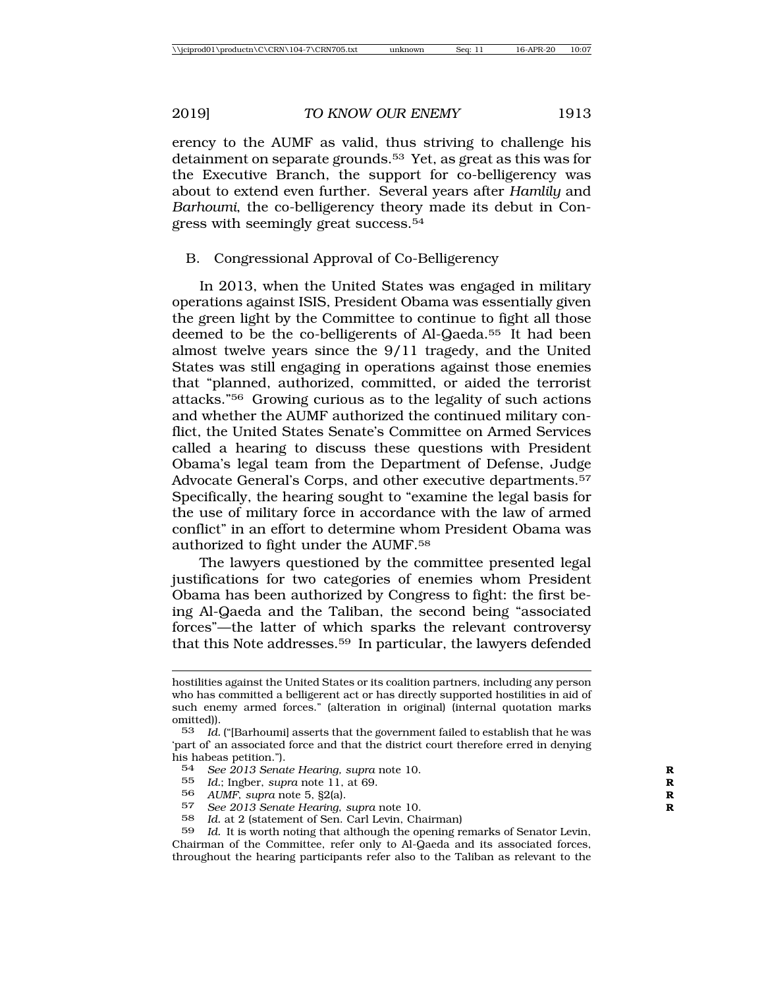erency to the AUMF as valid, thus striving to challenge his detainment on separate grounds.53 Yet, as great as this was for the Executive Branch, the support for co-belligerency was about to extend even further. Several years after *Hamlily* and *Barhoumi*, the co-belligerency theory made its debut in Congress with seemingly great success.54

## B. Congressional Approval of Co-Belligerency

In 2013, when the United States was engaged in military operations against ISIS, President Obama was essentially given the green light by the Committee to continue to fight all those deemed to be the co-belligerents of Al-Qaeda.55 It had been almost twelve years since the 9/11 tragedy, and the United States was still engaging in operations against those enemies that "planned, authorized, committed, or aided the terrorist attacks."56 Growing curious as to the legality of such actions and whether the AUMF authorized the continued military conflict, the United States Senate's Committee on Armed Services called a hearing to discuss these questions with President Obama's legal team from the Department of Defense, Judge Advocate General's Corps, and other executive departments.<sup>57</sup> Specifically, the hearing sought to "examine the legal basis for the use of military force in accordance with the law of armed conflict" in an effort to determine whom President Obama was authorized to fight under the AUMF.58

The lawyers questioned by the committee presented legal justifications for two categories of enemies whom President Obama has been authorized by Congress to fight: the first being Al-Qaeda and the Taliban, the second being "associated forces"—the latter of which sparks the relevant controversy that this Note addresses.59 In particular, the lawyers defended

- 55 *Id.*; Ingber, *supra* note 11, at 69. **R**
- 56 *AUMF*, *supra* note 5, §2(a). **R**
- 57 *See 2013 Senate Hearing*, *supra* note 10.<br>58 *Id at 2 Istatement of Sen Carl Levin Ch*

59 *Id.* It is worth noting that although the opening remarks of Senator Levin, Chairman of the Committee, refer only to Al-Qaeda and its associated forces, throughout the hearing participants refer also to the Taliban as relevant to the

hostilities against the United States or its coalition partners, including any person who has committed a belligerent act or has directly supported hostilities in aid of such enemy armed forces." (alteration in original) (internal quotation marks omitted)).

<sup>53</sup> *Id.* ("[Barhoumi] asserts that the government failed to establish that he was 'part of' an associated force and that the district court therefore erred in denying his habeas petition.").

<sup>54</sup> *See 2013 Senate Hearing, supra note 10.*  $55$  *Id* · Ingher *supra note 11 at 69* 

Id. at 2 (statement of Sen. Carl Levin, Chairman)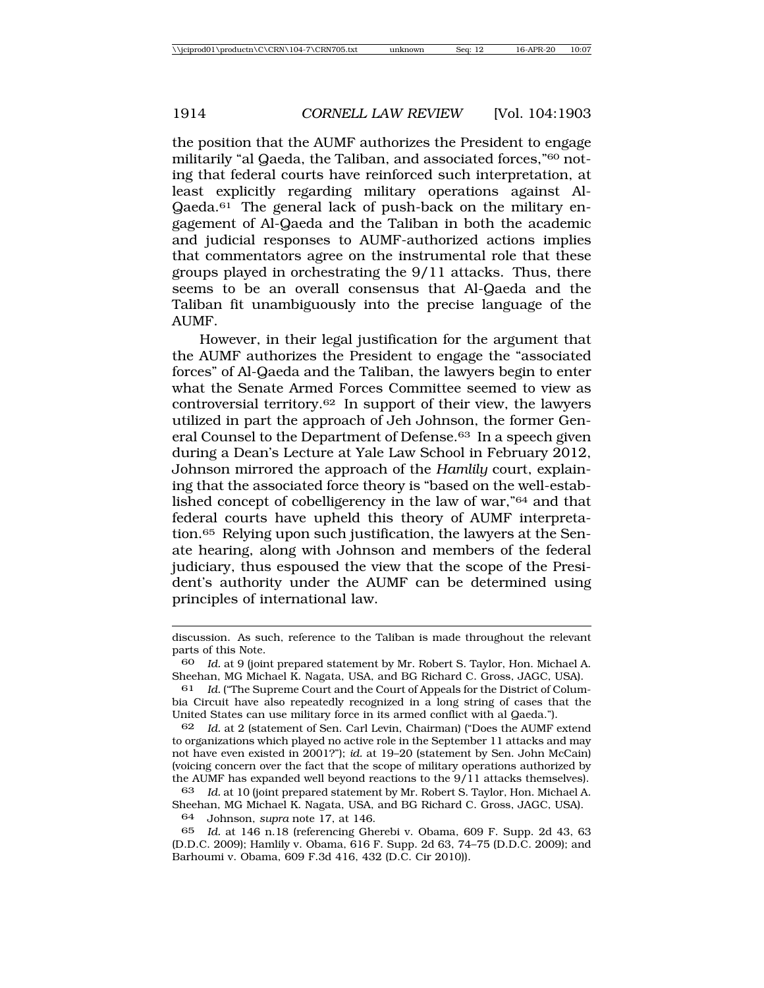the position that the AUMF authorizes the President to engage militarily "al Qaeda, the Taliban, and associated forces,"60 noting that federal courts have reinforced such interpretation, at least explicitly regarding military operations against Al-Qaeda.61 The general lack of push-back on the military engagement of Al-Qaeda and the Taliban in both the academic and judicial responses to AUMF-authorized actions implies that commentators agree on the instrumental role that these groups played in orchestrating the 9/11 attacks. Thus, there seems to be an overall consensus that Al-Qaeda and the Taliban fit unambiguously into the precise language of the AUMF.

However, in their legal justification for the argument that the AUMF authorizes the President to engage the "associated forces" of Al-Qaeda and the Taliban, the lawyers begin to enter what the Senate Armed Forces Committee seemed to view as controversial territory.62 In support of their view, the lawyers utilized in part the approach of Jeh Johnson, the former General Counsel to the Department of Defense.63 In a speech given during a Dean's Lecture at Yale Law School in February 2012, Johnson mirrored the approach of the *Hamlily* court, explaining that the associated force theory is "based on the well-established concept of cobelligerency in the law of war,"64 and that federal courts have upheld this theory of AUMF interpretation.65 Relying upon such justification, the lawyers at the Senate hearing, along with Johnson and members of the federal judiciary, thus espoused the view that the scope of the President's authority under the AUMF can be determined using principles of international law.

64 Johnson, *supra* note 17, at 146.

65 *Id.* at 146 n.18 (referencing Gherebi v. Obama, 609 F. Supp. 2d 43, 63 (D.D.C. 2009); Hamlily v. Obama, 616 F. Supp. 2d 63, 74–75 (D.D.C. 2009); and Barhoumi v. Obama, 609 F.3d 416, 432 (D.C. Cir 2010)).

discussion. As such, reference to the Taliban is made throughout the relevant parts of this Note.

<sup>60</sup> *Id.* at 9 (joint prepared statement by Mr. Robert S. Taylor, Hon. Michael A. Sheehan, MG Michael K. Nagata, USA, and BG Richard C. Gross, JAGC, USA).

Id. ("The Supreme Court and the Court of Appeals for the District of Columbia Circuit have also repeatedly recognized in a long string of cases that the United States can use military force in its armed conflict with al Qaeda.").

<sup>62</sup> *Id.* at 2 (statement of Sen. Carl Levin, Chairman) ("Does the AUMF extend to organizations which played no active role in the September 11 attacks and may not have even existed in 2001?"); *id.* at 19–20 (statement by Sen. John McCain) (voicing concern over the fact that the scope of military operations authorized by the AUMF has expanded well beyond reactions to the 9/11 attacks themselves).

<sup>63</sup> *Id.* at 10 (joint prepared statement by Mr. Robert S. Taylor, Hon. Michael A. Sheehan, MG Michael K. Nagata, USA, and BG Richard C. Gross, JAGC, USA).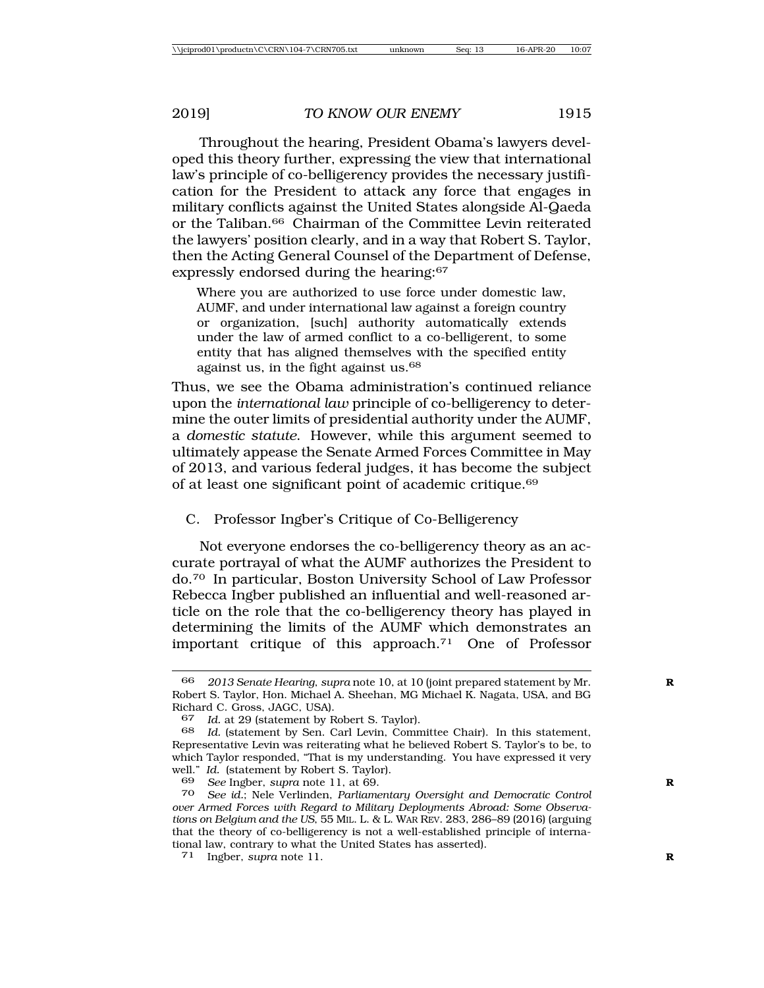Throughout the hearing, President Obama's lawyers developed this theory further, expressing the view that international law's principle of co-belligerency provides the necessary justification for the President to attack any force that engages in military conflicts against the United States alongside Al-Qaeda or the Taliban.66 Chairman of the Committee Levin reiterated the lawyers' position clearly, and in a way that Robert S. Taylor, then the Acting General Counsel of the Department of Defense, expressly endorsed during the hearing: 67

Where you are authorized to use force under domestic law, AUMF, and under international law against a foreign country or organization, [such] authority automatically extends under the law of armed conflict to a co-belligerent, to some entity that has aligned themselves with the specified entity against us, in the fight against us.68

Thus, we see the Obama administration's continued reliance upon the *international law* principle of co-belligerency to determine the outer limits of presidential authority under the AUMF, a *domestic statute*. However, while this argument seemed to ultimately appease the Senate Armed Forces Committee in May of 2013, and various federal judges, it has become the subject of at least one significant point of academic critique.69

## C. Professor Ingber's Critique of Co-Belligerency

Not everyone endorses the co-belligerency theory as an accurate portrayal of what the AUMF authorizes the President to do.70 In particular, Boston University School of Law Professor Rebecca Ingber published an influential and well-reasoned article on the role that the co-belligerency theory has played in determining the limits of the AUMF which demonstrates an important critique of this approach.71 One of Professor

<sup>66</sup> *2013 Senate Hearing*, *supra* note 10, at 10 (joint prepared statement by Mr. **R** Robert S. Taylor, Hon. Michael A. Sheehan, MG Michael K. Nagata, USA, and BG Richard C. Gross, JAGC, USA).

<sup>67</sup> *Id.* at 29 (statement by Robert S. Taylor).

<sup>68</sup> *Id.* (statement by Sen. Carl Levin, Committee Chair). In this statement, Representative Levin was reiterating what he believed Robert S. Taylor's to be, to which Taylor responded, "That is my understanding. You have expressed it very well." *Id.* (statement by Robert S. Taylor).

<sup>69</sup> *See* Ingber, *supra* note 11, at 69. **R**

<sup>70</sup> *See id.*; Nele Verlinden, *Parliamentary Oversight and Democratic Control over Armed Forces with Regard to Military Deployments Abroad: Some Observations on Belgium and the US*, 55 MIL. L. & L. WAR REV. 283, 286–89 (2016) (arguing that the theory of co-belligerency is not a well-established principle of international law, contrary to what the United States has asserted).

<sup>71</sup> Ingber, *supra* note 11. **R**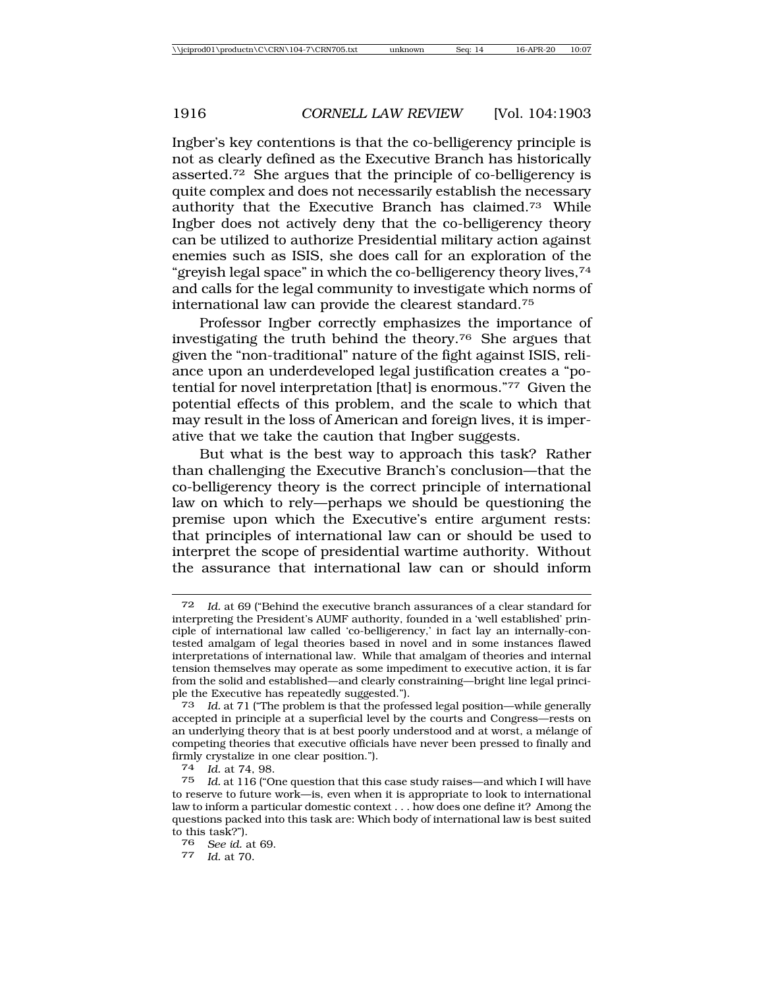Ingber's key contentions is that the co-belligerency principle is not as clearly defined as the Executive Branch has historically asserted.72 She argues that the principle of co-belligerency is quite complex and does not necessarily establish the necessary authority that the Executive Branch has claimed.73 While Ingber does not actively deny that the co-belligerency theory can be utilized to authorize Presidential military action against enemies such as ISIS, she does call for an exploration of the "greyish legal space" in which the co-belligerency theory lives,74 and calls for the legal community to investigate which norms of international law can provide the clearest standard.75

Professor Ingber correctly emphasizes the importance of investigating the truth behind the theory.76 She argues that given the "non-traditional" nature of the fight against ISIS, reliance upon an underdeveloped legal justification creates a "potential for novel interpretation [that] is enormous."77 Given the potential effects of this problem, and the scale to which that may result in the loss of American and foreign lives, it is imperative that we take the caution that Ingber suggests.

But what is the best way to approach this task? Rather than challenging the Executive Branch's conclusion—that the co-belligerency theory is the correct principle of international law on which to rely—perhaps we should be questioning the premise upon which the Executive's entire argument rests: that principles of international law can or should be used to interpret the scope of presidential wartime authority. Without the assurance that international law can or should inform

Id. at 69 ("Behind the executive branch assurances of a clear standard for interpreting the President's AUMF authority, founded in a 'well established' principle of international law called 'co-belligerency,' in fact lay an internally-contested amalgam of legal theories based in novel and in some instances flawed interpretations of international law. While that amalgam of theories and internal tension themselves may operate as some impediment to executive action, it is far from the solid and established—and clearly constraining—bright line legal principle the Executive has repeatedly suggested.").

<sup>73</sup> *Id.* at 71 ("The problem is that the professed legal position—while generally accepted in principle at a superficial level by the courts and Congress—rests on an underlying theory that is at best poorly understood and at worst, a mélange of competing theories that executive officials have never been pressed to finally and firmly crystalize in one clear position.").

<sup>74</sup> *Id.* at 74, 98.

<sup>75</sup> *Id.* at 116 ("One question that this case study raises—and which I will have to reserve to future work—is, even when it is appropriate to look to international law to inform a particular domestic context . . . how does one define it? Among the questions packed into this task are: Which body of international law is best suited to this task?").

<sup>76</sup> *See id.* at 69. <sup>77</sup> *Id.* at 70.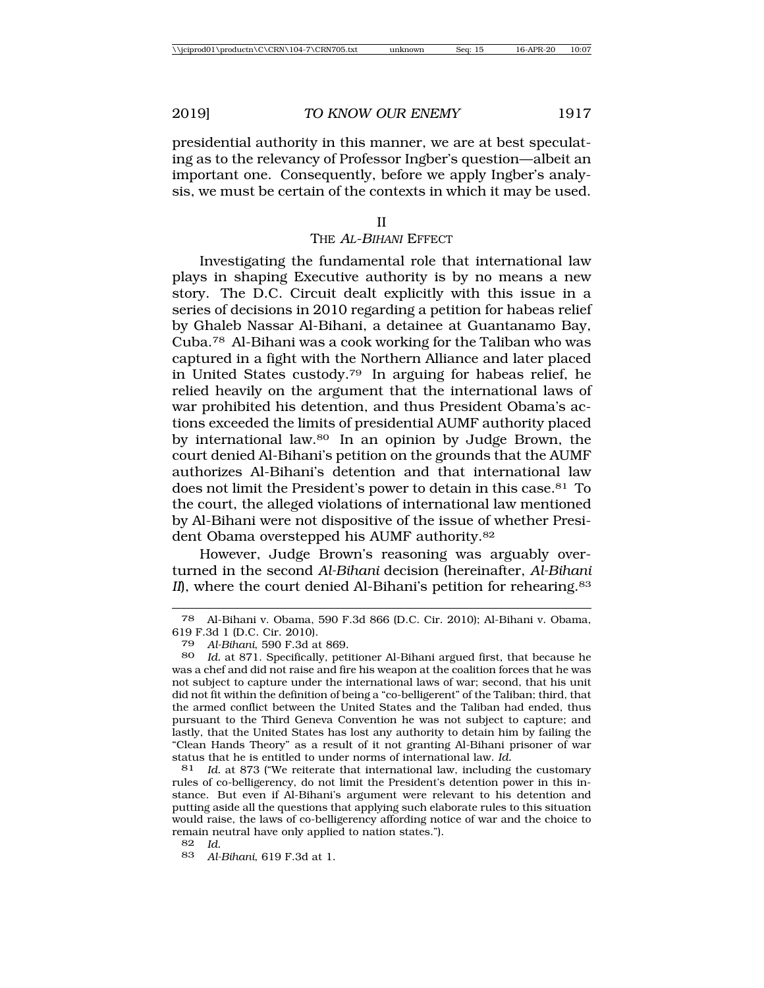presidential authority in this manner, we are at best speculating as to the relevancy of Professor Ingber's question—albeit an important one. Consequently, before we apply Ingber's analysis, we must be certain of the contexts in which it may be used.

#### THE <sup>A</sup>L-BIHANI EFFECT

Investigating the fundamental role that international law plays in shaping Executive authority is by no means a new story. The D.C. Circuit dealt explicitly with this issue in a series of decisions in 2010 regarding a petition for habeas relief by Ghaleb Nassar Al-Bihani, a detainee at Guantanamo Bay, Cuba.78 Al-Bihani was a cook working for the Taliban who was captured in a fight with the Northern Alliance and later placed in United States custody.79 In arguing for habeas relief, he relied heavily on the argument that the international laws of war prohibited his detention, and thus President Obama's actions exceeded the limits of presidential AUMF authority placed by international law.<sup>80</sup> In an opinion by Judge Brown, the court denied Al-Bihani's petition on the grounds that the AUMF authorizes Al-Bihani's detention and that international law does not limit the President's power to detain in this case.<sup>81</sup> To the court, the alleged violations of international law mentioned by Al-Bihani were not dispositive of the issue of whether President Obama overstepped his AUMF authority.82

However, Judge Brown's reasoning was arguably overturned in the second *Al-Bihani* decision (hereinafter, *Al-Bihani II*), where the court denied Al-Bihani's petition for rehearing.<sup>83</sup>

81 *Id.* at 873 ("We reiterate that international law, including the customary rules of co-belligerency, do not limit the President's detention power in this instance. But even if Al-Bihani's argument were relevant to his detention and putting aside all the questions that applying such elaborate rules to this situation would raise, the laws of co-belligerency affording notice of war and the choice to remain neutral have only applied to nation states.").

82 *Id.*

<sup>78</sup> Al-Bihani v. Obama, 590 F.3d 866 (D.C. Cir. 2010); Al-Bihani v. Obama, 619 F.3d 1 (D.C. Cir. 2010).

<sup>79</sup> *Al-Bihani*, 590 F.3d at 869.

<sup>80</sup> *Id.* at 871. Specifically, petitioner Al-Bihani argued first, that because he was a chef and did not raise and fire his weapon at the coalition forces that he was not subject to capture under the international laws of war; second, that his unit did not fit within the definition of being a "co-belligerent" of the Taliban; third, that the armed conflict between the United States and the Taliban had ended, thus pursuant to the Third Geneva Convention he was not subject to capture; and lastly, that the United States has lost any authority to detain him by failing the "Clean Hands Theory" as a result of it not granting Al-Bihani prisoner of war status that he is entitled to under norms of international law. *Id.*

<sup>83</sup> *Al-Bihani*, 619 F.3d at 1.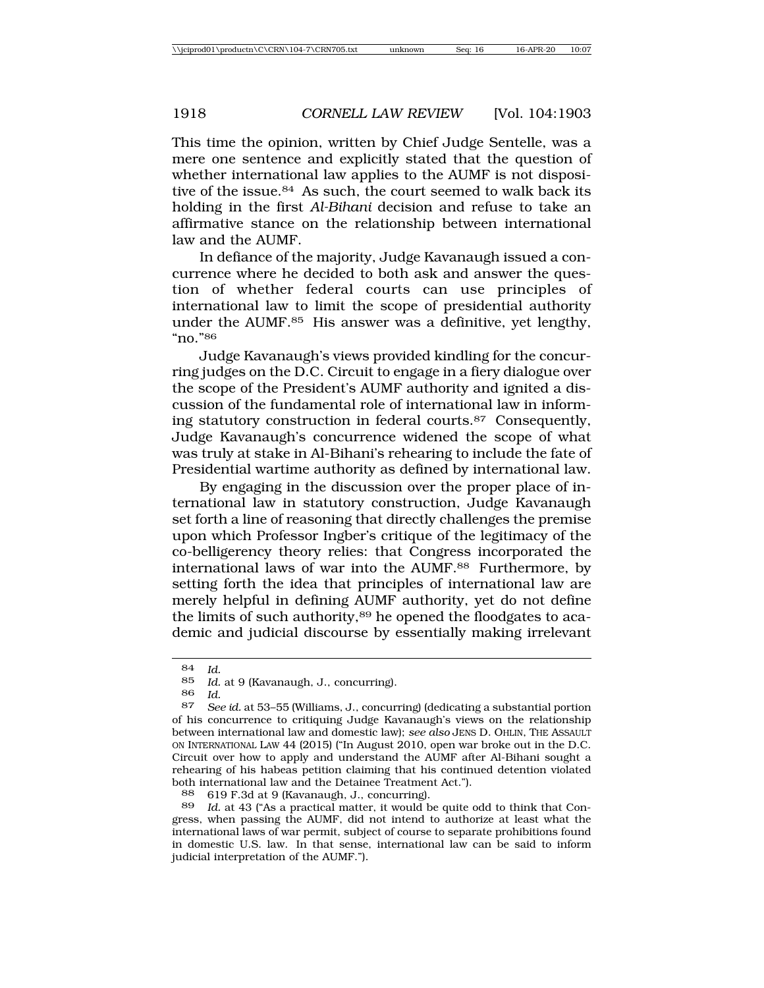This time the opinion, written by Chief Judge Sentelle, was a mere one sentence and explicitly stated that the question of whether international law applies to the AUMF is not dispositive of the issue.<sup>84</sup> As such, the court seemed to walk back its holding in the first *Al-Bihani* decision and refuse to take an affirmative stance on the relationship between international law and the AUMF.

In defiance of the majority, Judge Kavanaugh issued a concurrence where he decided to both ask and answer the question of whether federal courts can use principles of international law to limit the scope of presidential authority under the AUMF.85 His answer was a definitive, yet lengthy, "no."86

Judge Kavanaugh's views provided kindling for the concurring judges on the D.C. Circuit to engage in a fiery dialogue over the scope of the President's AUMF authority and ignited a discussion of the fundamental role of international law in informing statutory construction in federal courts.87 Consequently, Judge Kavanaugh's concurrence widened the scope of what was truly at stake in Al-Bihani's rehearing to include the fate of Presidential wartime authority as defined by international law.

By engaging in the discussion over the proper place of international law in statutory construction, Judge Kavanaugh set forth a line of reasoning that directly challenges the premise upon which Professor Ingber's critique of the legitimacy of the co-belligerency theory relies: that Congress incorporated the international laws of war into the AUMF.88 Furthermore, by setting forth the idea that principles of international law are merely helpful in defining AUMF authority, yet do not define the limits of such authority,<sup>89</sup> he opened the floodgates to academic and judicial discourse by essentially making irrelevant

<sup>84</sup> *Id.*

<sup>85</sup> *Id.* at 9 (Kavanaugh, J., concurring).

<sup>86</sup> *Id.*

See id. at 53-55 (Williams, J., concurring) (dedicating a substantial portion of his concurrence to critiquing Judge Kavanaugh's views on the relationship between international law and domestic law); *see also* JENS D. OHLIN, THE ASSAULT ON INTERNATIONAL LAW 44 (2015) ("In August 2010, open war broke out in the D.C. Circuit over how to apply and understand the AUMF after Al-Bihani sought a rehearing of his habeas petition claiming that his continued detention violated both international law and the Detainee Treatment Act.").

<sup>88</sup> 619 F.3d at 9 (Kavanaugh, J., concurring).

Id. at 43 ("As a practical matter, it would be quite odd to think that Congress, when passing the AUMF, did not intend to authorize at least what the international laws of war permit, subject of course to separate prohibitions found in domestic U.S. law. In that sense, international law can be said to inform judicial interpretation of the AUMF.").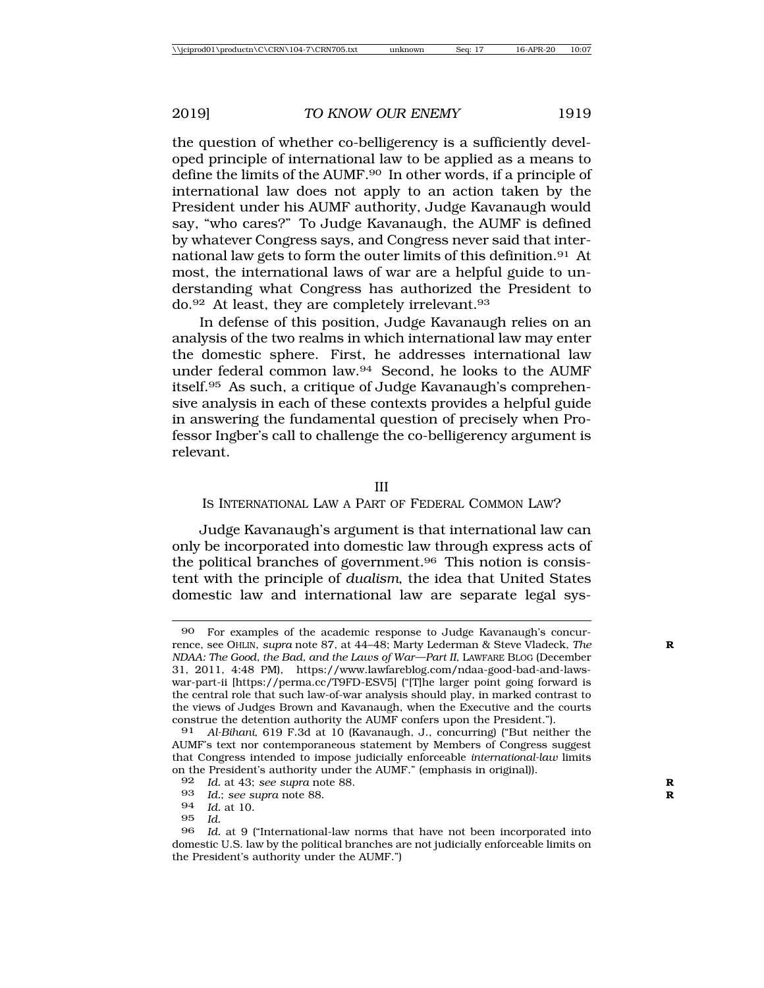the question of whether co-belligerency is a sufficiently developed principle of international law to be applied as a means to define the limits of the AUMF.90 In other words, if a principle of international law does not apply to an action taken by the President under his AUMF authority, Judge Kavanaugh would say, "who cares?" To Judge Kavanaugh, the AUMF is defined by whatever Congress says, and Congress never said that international law gets to form the outer limits of this definition.91 At most, the international laws of war are a helpful guide to understanding what Congress has authorized the President to do.<sup>92</sup> At least, they are completely irrelevant.<sup>93</sup>

In defense of this position, Judge Kavanaugh relies on an analysis of the two realms in which international law may enter the domestic sphere. First, he addresses international law under federal common law.94 Second, he looks to the AUMF itself.95 As such, a critique of Judge Kavanaugh's comprehensive analysis in each of these contexts provides a helpful guide in answering the fundamental question of precisely when Professor Ingber's call to challenge the co-belligerency argument is relevant.

III

### IS INTERNATIONAL LAW A PART OF FEDERAL COMMON LAW?

Judge Kavanaugh's argument is that international law can only be incorporated into domestic law through express acts of the political branches of government.96 This notion is consistent with the principle of *dualism*, the idea that United States domestic law and international law are separate legal sys-

<sup>90</sup> For examples of the academic response to Judge Kavanaugh's concurrence, see OHLIN, *supra* note 87, at 44–48; Marty Lederman & Steve Vladeck, *The* **R** *NDAA: The Good, the Bad, and the Laws of War—Part II*, LAWFARE BLOG (December 31, 2011, 4:48 PM), https://www.lawfareblog.com/ndaa-good-bad-and-lawswar-part-ii [https://perma.cc/T9FD-ESV5] ("[T]he larger point going forward is the central role that such law-of-war analysis should play, in marked contrast to the views of Judges Brown and Kavanaugh, when the Executive and the courts construe the detention authority the AUMF confers upon the President.").

<sup>91</sup> *Al-Bihani*, 619 F.3d at 10 (Kavanaugh, J., concurring) ("But neither the AUMF's text nor contemporaneous statement by Members of Congress suggest that Congress intended to impose judicially enforceable *international-law* limits on the President's authority under the AUMF." (emphasis in original)).

<sup>92</sup> *Id.* at 43; *see supra* note 88.<br>93 *Id · see supra* note 88

Id.; see supra note 88.

<sup>94</sup> *Id.* at 10.

<sup>95</sup> *Id.*

<sup>96</sup> *Id.* at 9 ("International-law norms that have not been incorporated into domestic U.S. law by the political branches are not judicially enforceable limits on the President's authority under the AUMF.")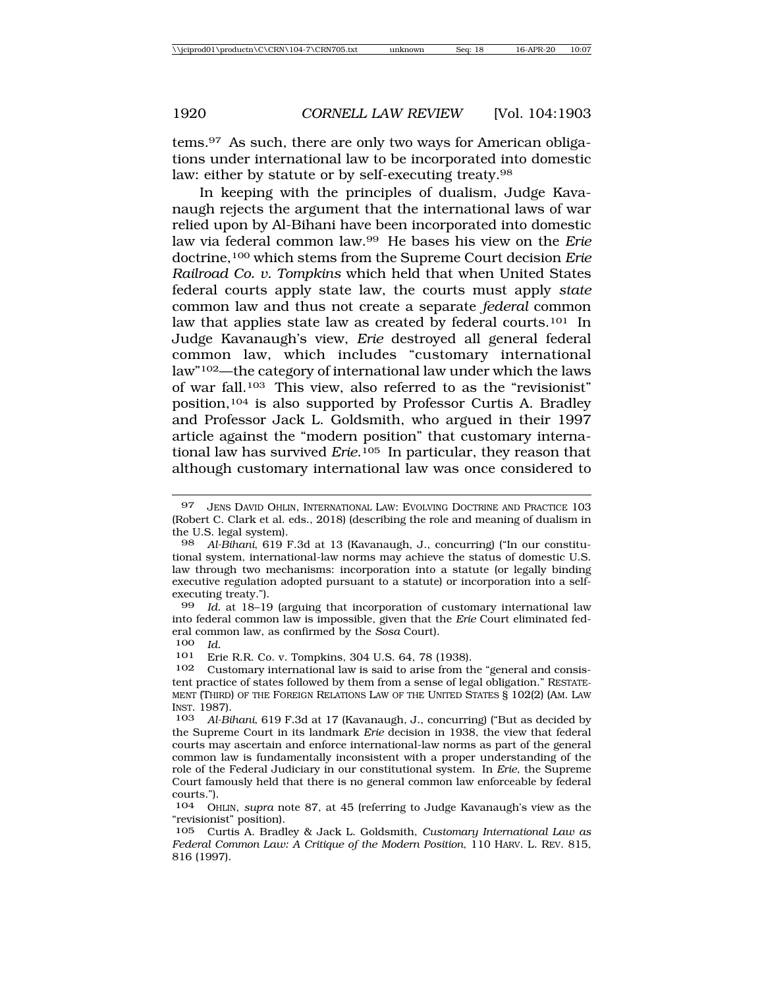In keeping with the principles of dualism, Judge Kavanaugh rejects the argument that the international laws of war relied upon by Al-Bihani have been incorporated into domestic law via federal common law.99 He bases his view on the *Erie* doctrine,100 which stems from the Supreme Court decision *Erie Railroad Co. v. Tompkins* which held that when United States federal courts apply state law, the courts must apply *state* common law and thus not create a separate *federal* common law that applies state law as created by federal courts.<sup>101</sup> In Judge Kavanaugh's view, *Erie* destroyed all general federal common law, which includes "customary international law"102—the category of international law under which the laws of war fall.103 This view, also referred to as the "revisionist" position,104 is also supported by Professor Curtis A. Bradley and Professor Jack L. Goldsmith, who argued in their 1997 article against the "modern position" that customary international law has survived *Erie*.105 In particular, they reason that although customary international law was once considered to

Erie R.R. Co. v. Tompkins, 304 U.S. 64, 78 (1938).

<sup>97</sup> JENS DAVID OHLIN, INTERNATIONAL LAW: EVOLVING DOCTRINE AND PRACTICE 103 (Robert C. Clark et al. eds., 2018) (describing the role and meaning of dualism in the U.S. legal system).

<sup>98</sup> *Al-Bihani*, 619 F.3d at 13 (Kavanaugh, J., concurring) ("In our constitutional system, international-law norms may achieve the status of domestic U.S. law through two mechanisms: incorporation into a statute (or legally binding executive regulation adopted pursuant to a statute) or incorporation into a selfexecuting treaty.").

<sup>99</sup> *Id.* at 18–19 (arguing that incorporation of customary international law into federal common law is impossible, given that the *Erie* Court eliminated federal common law, as confirmed by the *Sosa* Court).

<sup>100</sup> *Id.*

<sup>102</sup> Customary international law is said to arise from the "general and consistent practice of states followed by them from a sense of legal obligation." RESTATE-MENT (THIRD) OF THE FOREIGN RELATIONS LAW OF THE UNITED STATES § 102(2) (AM. LAW INST. 1987).

<sup>103</sup> *Al-Bihani*, 619 F.3d at 17 (Kavanaugh, J., concurring) ("But as decided by the Supreme Court in its landmark *Erie* decision in 1938, the view that federal courts may ascertain and enforce international-law norms as part of the general common law is fundamentally inconsistent with a proper understanding of the role of the Federal Judiciary in our constitutional system. In *Erie*, the Supreme Court famously held that there is no general common law enforceable by federal courts.").

<sup>104</sup> OHLIN, *supra* note 87, at 45 (referring to Judge Kavanaugh's view as the "revisionist" position).

<sup>105</sup> Curtis A. Bradley & Jack L. Goldsmith, *Customary International Law as Federal Common Law: A Critique of the Modern Position*, 110 HARV. L. REV. 815, 816 (1997).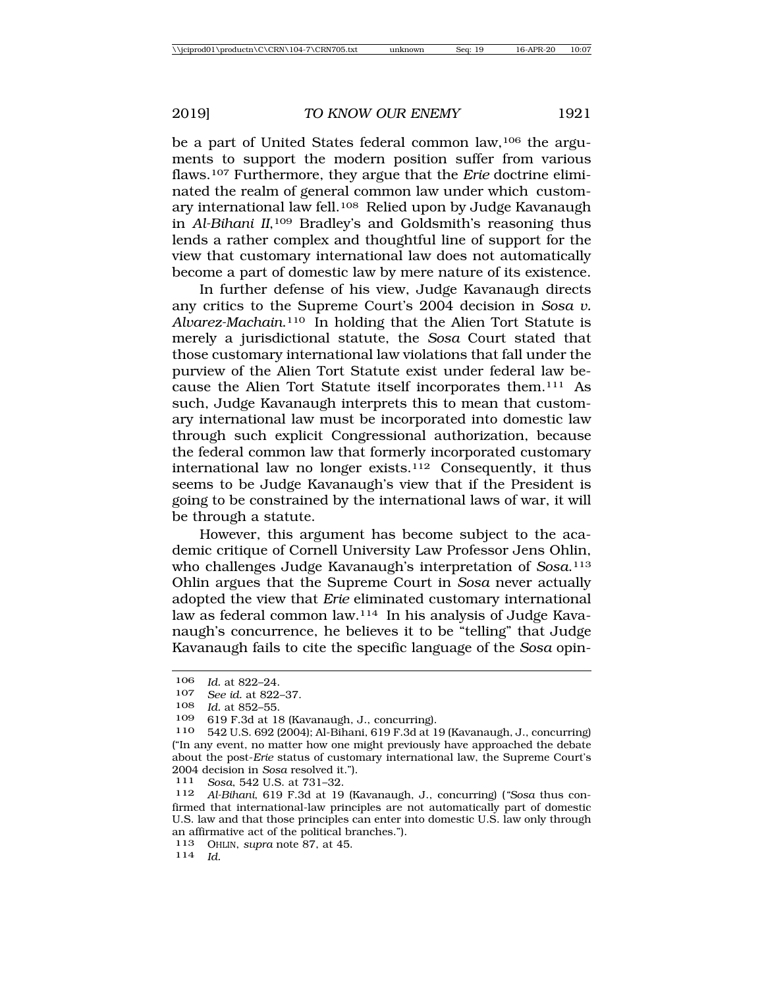be a part of United States federal common law,106 the arguments to support the modern position suffer from various flaws.107 Furthermore, they argue that the *Erie* doctrine eliminated the realm of general common law under which customary international law fell.<sup>108</sup> Relied upon by Judge Kavanaugh in *Al-Bihani II*,109 Bradley's and Goldsmith's reasoning thus lends a rather complex and thoughtful line of support for the view that customary international law does not automatically become a part of domestic law by mere nature of its existence.

In further defense of his view, Judge Kavanaugh directs any critics to the Supreme Court's 2004 decision in *Sosa v. Alvarez-Machain*.110 In holding that the Alien Tort Statute is merely a jurisdictional statute, the *Sosa* Court stated that those customary international law violations that fall under the purview of the Alien Tort Statute exist under federal law because the Alien Tort Statute itself incorporates them.111 As such, Judge Kavanaugh interprets this to mean that customary international law must be incorporated into domestic law through such explicit Congressional authorization, because the federal common law that formerly incorporated customary international law no longer exists.112 Consequently, it thus seems to be Judge Kavanaugh's view that if the President is going to be constrained by the international laws of war, it will be through a statute.

However, this argument has become subject to the academic critique of Cornell University Law Professor Jens Ohlin, who challenges Judge Kavanaugh's interpretation of *Sosa*.113 Ohlin argues that the Supreme Court in *Sosa* never actually adopted the view that *Erie* eliminated customary international law as federal common law.114 In his analysis of Judge Kavanaugh's concurrence, he believes it to be "telling" that Judge Kavanaugh fails to cite the specific language of the *Sosa* opin-

<sup>106</sup> *Id.* at 822–24.<br>107 *See id.* at 822.

<sup>107</sup> *See id.* at 822–37.

*Id.* at 852-55.

<sup>109</sup> 619 F.3d at 18 (Kavanaugh, J., concurring).

<sup>110</sup> 542 U.S. 692 (2004); Al-Bihani, 619 F.3d at 19 (Kavanaugh, J., concurring) ("In any event, no matter how one might previously have approached the debate about the post-*Erie* status of customary international law, the Supreme Court's 2004 decision in *Sosa* resolved it."). <sup>111</sup> *Sosa*, 542 U.S. at 731–32.

<sup>112</sup> *Al-Bihani*, 619 F.3d at 19 (Kavanaugh, J., concurring) (*"Sosa* thus confirmed that international-law principles are not automatically part of domestic U.S. law and that those principles can enter into domestic U.S. law only through an affirmative act of the political branches.").

<sup>113</sup> OHLIN, *supra* note 87, at 45. <sup>114</sup> *Id.*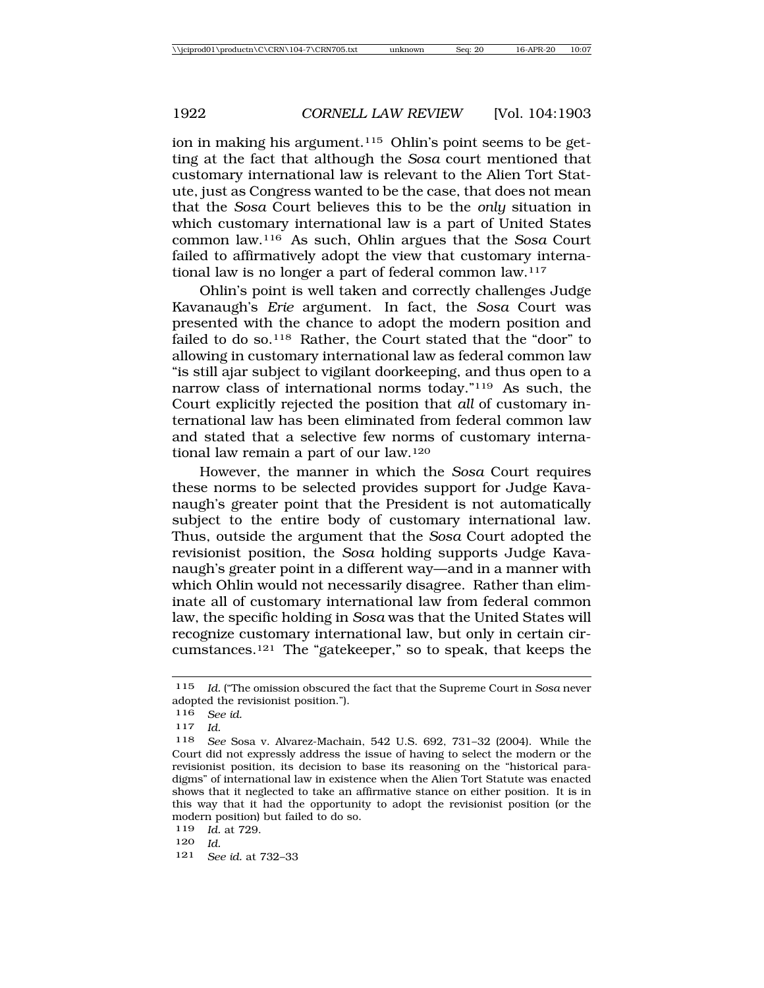ion in making his argument.<sup>115</sup> Ohlin's point seems to be getting at the fact that although the *Sosa* court mentioned that customary international law is relevant to the Alien Tort Statute, just as Congress wanted to be the case, that does not mean that the *Sosa* Court believes this to be the *only* situation in which customary international law is a part of United States common law.116 As such, Ohlin argues that the *Sosa* Court failed to affirmatively adopt the view that customary international law is no longer a part of federal common law.117

Ohlin's point is well taken and correctly challenges Judge Kavanaugh's *Erie* argument. In fact, the *Sosa* Court was presented with the chance to adopt the modern position and failed to do so.<sup>118</sup> Rather, the Court stated that the "door" to allowing in customary international law as federal common law "is still ajar subject to vigilant doorkeeping, and thus open to a narrow class of international norms today."119 As such, the Court explicitly rejected the position that *all* of customary international law has been eliminated from federal common law and stated that a selective few norms of customary international law remain a part of our law.120

However, the manner in which the *Sosa* Court requires these norms to be selected provides support for Judge Kavanaugh's greater point that the President is not automatically subject to the entire body of customary international law. Thus, outside the argument that the *Sosa* Court adopted the revisionist position, the *Sosa* holding supports Judge Kavanaugh's greater point in a different way—and in a manner with which Ohlin would not necessarily disagree. Rather than eliminate all of customary international law from federal common law, the specific holding in *Sosa* was that the United States will recognize customary international law, but only in certain circumstances.121 The "gatekeeper," so to speak, that keeps the

<sup>115</sup> *Id.* ("The omission obscured the fact that the Supreme Court in *Sosa* never adopted the revisionist position.").

<sup>116</sup> *See id.*

<sup>117</sup> *Id.*

<sup>118</sup> *See* Sosa v. Alvarez-Machain, 542 U.S. 692, 731–32 (2004). While the Court did not expressly address the issue of having to select the modern or the revisionist position, its decision to base its reasoning on the "historical paradigms" of international law in existence when the Alien Tort Statute was enacted shows that it neglected to take an affirmative stance on either position. It is in this way that it had the opportunity to adopt the revisionist position (or the modern position) but failed to do so.

<sup>119</sup> *Id.* at 729.

 $\frac{120}{121}$  **C**<sub>c</sub>

<sup>121</sup> *See id.* at 732–33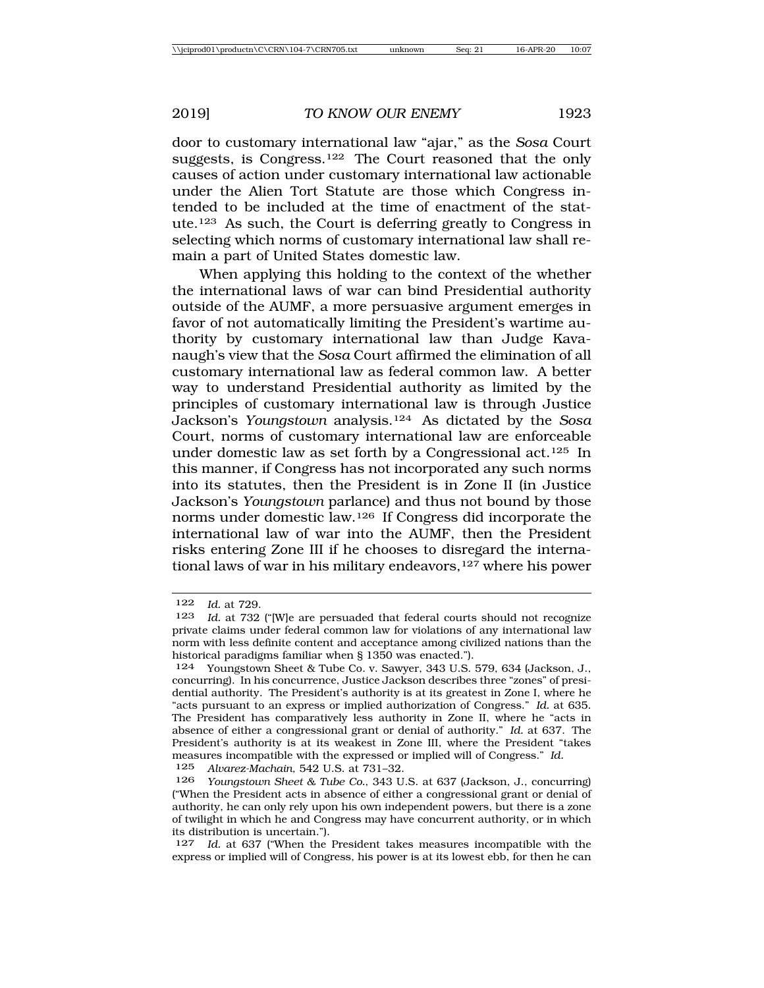door to customary international law "ajar," as the *Sosa* Court suggests, is Congress.122 The Court reasoned that the only causes of action under customary international law actionable under the Alien Tort Statute are those which Congress intended to be included at the time of enactment of the statute.123 As such, the Court is deferring greatly to Congress in selecting which norms of customary international law shall remain a part of United States domestic law.

When applying this holding to the context of the whether the international laws of war can bind Presidential authority outside of the AUMF, a more persuasive argument emerges in favor of not automatically limiting the President's wartime authority by customary international law than Judge Kavanaugh's view that the *Sosa* Court affirmed the elimination of all customary international law as federal common law. A better way to understand Presidential authority as limited by the principles of customary international law is through Justice Jackson's *Youngstown* analysis.124 As dictated by the *Sosa* Court, norms of customary international law are enforceable under domestic law as set forth by a Congressional act.125 In this manner, if Congress has not incorporated any such norms into its statutes, then the President is in Zone II (in Justice Jackson's *Youngstown* parlance) and thus not bound by those norms under domestic law.126 If Congress did incorporate the international law of war into the AUMF, then the President risks entering Zone III if he chooses to disregard the international laws of war in his military endeavors,  $127$  where his power

125 *Alvarez-Machain*, 542 U.S. at 731–32.

127 *Id.* at 637 ("When the President takes measures incompatible with the express or implied will of Congress, his power is at its lowest ebb, for then he can

<sup>122</sup> *Id.* at 729.

Id. at 732 ("[W]e are persuaded that federal courts should not recognize private claims under federal common law for violations of any international law norm with less definite content and acceptance among civilized nations than the historical paradigms familiar when § 1350 was enacted.").

<sup>124</sup> Youngstown Sheet & Tube Co. v. Sawyer, 343 U.S. 579, 634 (Jackson, J., concurring). In his concurrence, Justice Jackson describes three "zones" of presidential authority. The President's authority is at its greatest in Zone I, where he "acts pursuant to an express or implied authorization of Congress." *Id.* at 635. The President has comparatively less authority in Zone II, where he "acts in absence of either a congressional grant or denial of authority." *Id.* at 637. The President's authority is at its weakest in Zone III, where the President "takes measures incompatible with the expressed or implied will of Congress." *Id.*

<sup>126</sup> *Youngstown Sheet & Tube Co.*, 343 U.S. at 637 (Jackson, J., concurring) ("When the President acts in absence of either a congressional grant or denial of authority, he can only rely upon his own independent powers, but there is a zone of twilight in which he and Congress may have concurrent authority, or in which its distribution is uncertain.").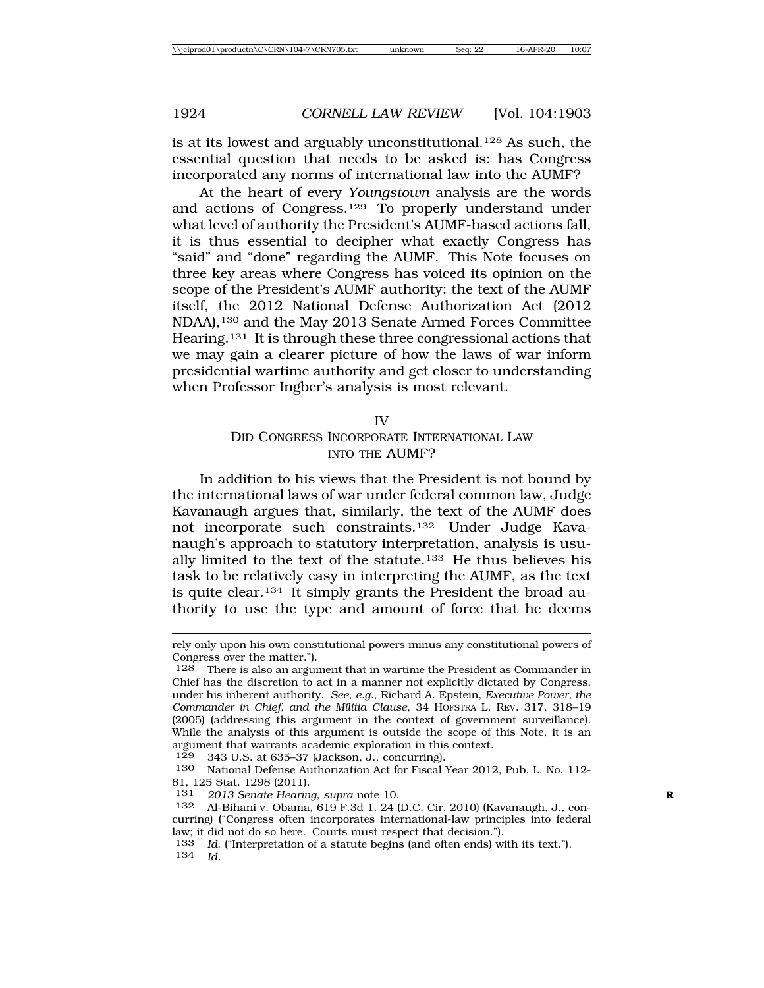is at its lowest and arguably unconstitutional.128 As such, the essential question that needs to be asked is: has Congress incorporated any norms of international law into the AUMF?

At the heart of every *Youngstown* analysis are the words and actions of Congress.129 To properly understand under what level of authority the President's AUMF-based actions fall, it is thus essential to decipher what exactly Congress has "said" and "done" regarding the AUMF. This Note focuses on three key areas where Congress has voiced its opinion on the scope of the President's AUMF authority: the text of the AUMF itself, the 2012 National Defense Authorization Act (2012 NDAA),130 and the May 2013 Senate Armed Forces Committee Hearing.131 It is through these three congressional actions that we may gain a clearer picture of how the laws of war inform presidential wartime authority and get closer to understanding when Professor Ingber's analysis is most relevant.

IV

## DID CONGRESS INCORPORATE INTERNATIONAL LAW INTO THE AUMF?

In addition to his views that the President is not bound by the international laws of war under federal common law, Judge Kavanaugh argues that, similarly, the text of the AUMF does not incorporate such constraints.132 Under Judge Kavanaugh's approach to statutory interpretation, analysis is usually limited to the text of the statute.133 He thus believes his task to be relatively easy in interpreting the AUMF, as the text is quite clear.134 It simply grants the President the broad authority to use the type and amount of force that he deems

 $129$  343 U.S. at 635–37 (Jackson, J., concurring).

rely only upon his own constitutional powers minus any constitutional powers of Congress over the matter.").

<sup>128</sup> There is also an argument that in wartime the President as Commander in Chief has the discretion to act in a manner not explicitly dictated by Congress, under his inherent authority. *See*, *e.g.*, Richard A. Epstein, *Executive Power, the Commander in Chief, and the Militia Clause*, 34 HOFSTRA L. REV. 317, 318–19 (2005) (addressing this argument in the context of government surveillance). While the analysis of this argument is outside the scope of this Note, it is an argument that warrants academic exploration in this context.

<sup>130</sup> National Defense Authorization Act for Fiscal Year 2012, Pub. L. No. 112- 81, 125 Stat. 1298 (2011).

<sup>131</sup> *2013 Senate Hearing*, *supra* note 10. **R**

<sup>132</sup> Al-Bihani v. Obama, 619 F.3d 1, 24 (D.C. Cir. 2010) (Kavanaugh, J., concurring) ("Congress often incorporates international-law principles into federal law; it did not do so here. Courts must respect that decision.").

<sup>133</sup> *Id*. ("Interpretation of a statute begins (and often ends) with its text."). 134 *Id.*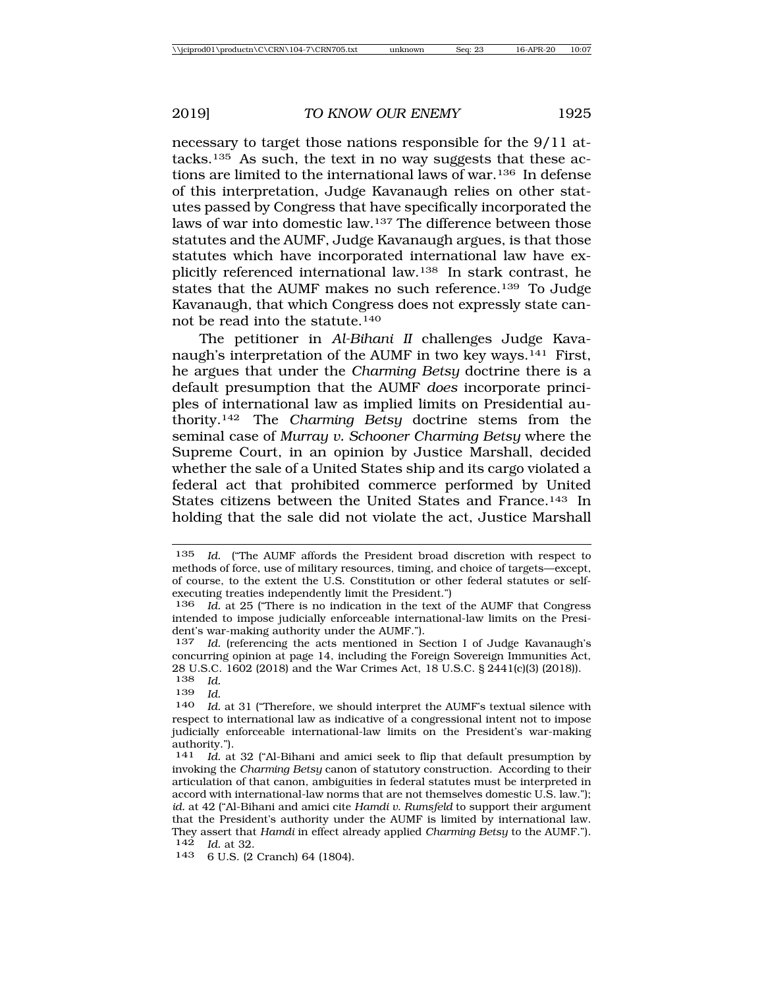necessary to target those nations responsible for the 9/11 attacks.135 As such, the text in no way suggests that these actions are limited to the international laws of war.136 In defense of this interpretation, Judge Kavanaugh relies on other statutes passed by Congress that have specifically incorporated the laws of war into domestic law.137 The difference between those statutes and the AUMF, Judge Kavanaugh argues, is that those statutes which have incorporated international law have explicitly referenced international law.138 In stark contrast, he states that the AUMF makes no such reference.139 To Judge Kavanaugh, that which Congress does not expressly state cannot be read into the statute.140

The petitioner in *Al-Bihani II* challenges Judge Kavanaugh's interpretation of the AUMF in two key ways.141 First, he argues that under the *Charming Betsy* doctrine there is a default presumption that the AUMF *does* incorporate principles of international law as implied limits on Presidential authority.142 The *Charming Betsy* doctrine stems from the seminal case of *Murray v. Schooner Charming Betsy* where the Supreme Court, in an opinion by Justice Marshall, decided whether the sale of a United States ship and its cargo violated a federal act that prohibited commerce performed by United States citizens between the United States and France.143 In holding that the sale did not violate the act, Justice Marshall

<sup>135</sup> *Id.* ("The AUMF affords the President broad discretion with respect to methods of force, use of military resources, timing, and choice of targets—except, of course, to the extent the U.S. Constitution or other federal statutes or selfexecuting treaties independently limit the President.")

<sup>136</sup> *Id.* at 25 ("There is no indication in the text of the AUMF that Congress intended to impose judicially enforceable international-law limits on the President's war-making authority under the AUMF.").

<sup>137</sup> *Id.* (referencing the acts mentioned in Section I of Judge Kavanaugh's concurring opinion at page 14, including the Foreign Sovereign Immunities Act, 28 U.S.C. 1602 (2018) and the War Crimes Act, 18 U.S.C. § 2441(c)(3) (2018)).<br>138 *Id.* 

<sup>138</sup> *Id.*

<sup>139</sup> *Id.*

Id. at 31 ("Therefore, we should interpret the AUMF's textual silence with respect to international law as indicative of a congressional intent not to impose judicially enforceable international-law limits on the President's war-making authority.").<br> $\frac{141}{d}$  at

Id. at 32 ("Al-Bihani and amici seek to flip that default presumption by invoking the *Charming Betsy* canon of statutory construction. According to their articulation of that canon, ambiguities in federal statutes must be interpreted in accord with international-law norms that are not themselves domestic U.S. law."); *id.* at 42 ("Al-Bihani and amici cite *Hamdi v. Rumsfeld* to support their argument that the President's authority under the AUMF is limited by international law. They assert that *Hamdi* in effect already applied *Charming Betsy* to the AUMF.").  $\frac{142}{143}$  *Id.* at 32.

<sup>6</sup> U.S. (2 Cranch) 64 (1804).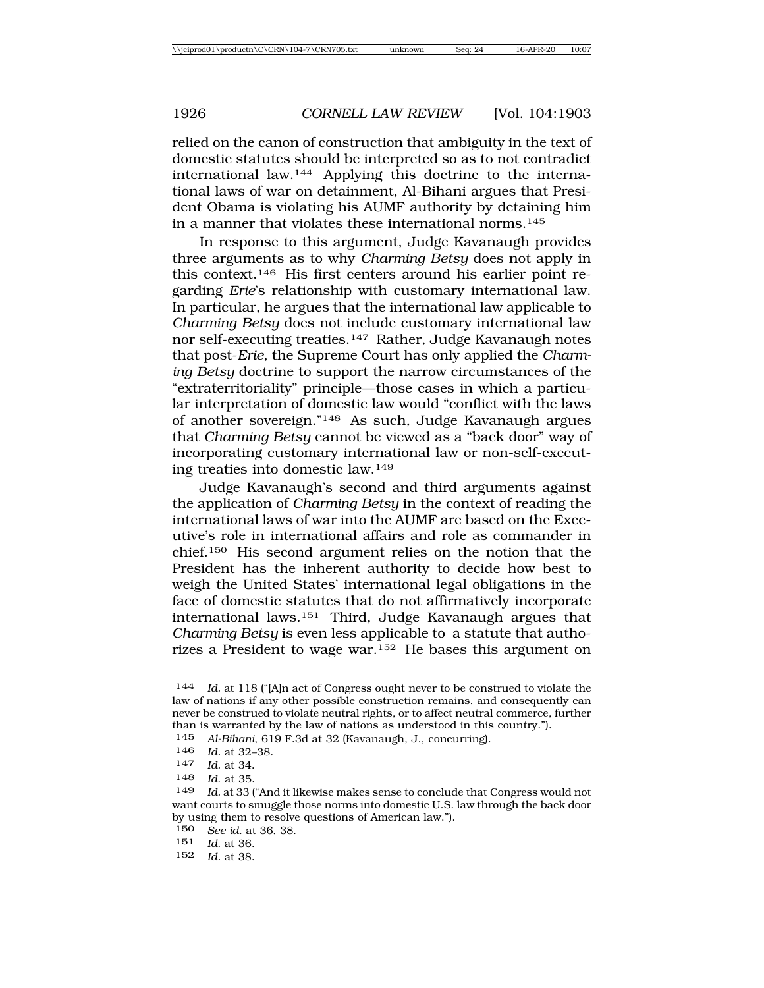relied on the canon of construction that ambiguity in the text of domestic statutes should be interpreted so as to not contradict international law.144 Applying this doctrine to the international laws of war on detainment, Al-Bihani argues that President Obama is violating his AUMF authority by detaining him in a manner that violates these international norms.<sup>145</sup>

In response to this argument, Judge Kavanaugh provides three arguments as to why *Charming Betsy* does not apply in this context.146 His first centers around his earlier point regarding *Erie*'s relationship with customary international law. In particular, he argues that the international law applicable to *Charming Betsy* does not include customary international law nor self-executing treaties.147 Rather, Judge Kavanaugh notes that post-*Erie*, the Supreme Court has only applied the *Charming Betsy* doctrine to support the narrow circumstances of the "extraterritoriality" principle—those cases in which a particular interpretation of domestic law would "conflict with the laws of another sovereign."148 As such, Judge Kavanaugh argues that *Charming Betsy* cannot be viewed as a "back door" way of incorporating customary international law or non-self-executing treaties into domestic law.149

Judge Kavanaugh's second and third arguments against the application of *Charming Betsy* in the context of reading the international laws of war into the AUMF are based on the Executive's role in international affairs and role as commander in chief.150 His second argument relies on the notion that the President has the inherent authority to decide how best to weigh the United States' international legal obligations in the face of domestic statutes that do not affirmatively incorporate international laws.151 Third, Judge Kavanaugh argues that *Charming Betsy* is even less applicable to a statute that authorizes a President to wage war.152 He bases this argument on

150 *See id.* at 36, 38.

151 *Id.* at 36.

<sup>144</sup> *Id.* at 118 ("[A]n act of Congress ought never to be construed to violate the law of nations if any other possible construction remains, and consequently can never be construed to violate neutral rights, or to affect neutral commerce, further than is warranted by the law of nations as understood in this country.").

<sup>145</sup> *Al-Bihani*, 619 F.3d at 32 (Kavanaugh, J., concurring).

<sup>146</sup> *Id.* at 32–38.

<sup>147</sup> *Id.* at 34.

<sup>148</sup> *Id*. at 35.

<sup>149</sup> *Id.* at 33 ("And it likewise makes sense to conclude that Congress would not want courts to smuggle those norms into domestic U.S. law through the back door by using them to resolve questions of American law.").

<sup>152</sup> *Id.* at 38.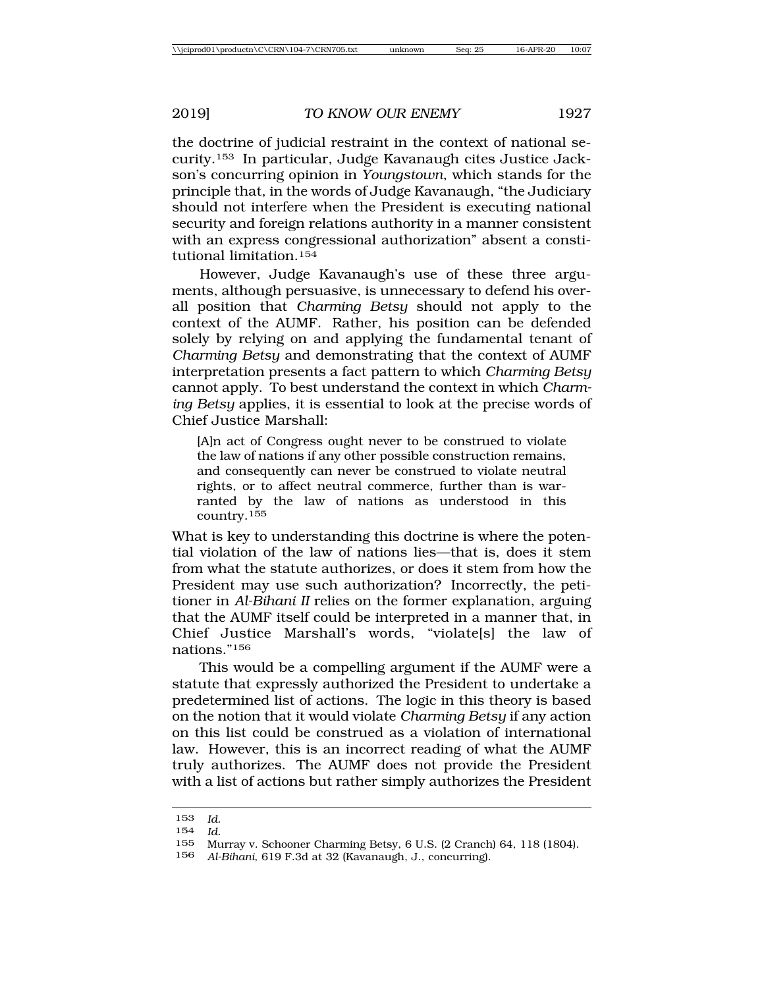the doctrine of judicial restraint in the context of national security.153 In particular, Judge Kavanaugh cites Justice Jackson's concurring opinion in *Youngstown*, which stands for the principle that, in the words of Judge Kavanaugh, "the Judiciary should not interfere when the President is executing national security and foreign relations authority in a manner consistent with an express congressional authorization" absent a constitutional limitation.154

However, Judge Kavanaugh's use of these three arguments, although persuasive, is unnecessary to defend his overall position that *Charming Betsy* should not apply to the context of the AUMF. Rather, his position can be defended solely by relying on and applying the fundamental tenant of *Charming Betsy* and demonstrating that the context of AUMF interpretation presents a fact pattern to which *Charming Betsy* cannot apply. To best understand the context in which *Charming Betsy* applies, it is essential to look at the precise words of Chief Justice Marshall:

[A]n act of Congress ought never to be construed to violate the law of nations if any other possible construction remains, and consequently can never be construed to violate neutral rights, or to affect neutral commerce, further than is warranted by the law of nations as understood in this country.<sup>155</sup>

What is key to understanding this doctrine is where the potential violation of the law of nations lies—that is, does it stem from what the statute authorizes, or does it stem from how the President may use such authorization? Incorrectly, the petitioner in *Al-Bihani II* relies on the former explanation, arguing that the AUMF itself could be interpreted in a manner that, in Chief Justice Marshall's words, "violate[s] the law of nations."156

This would be a compelling argument if the AUMF were a statute that expressly authorized the President to undertake a predetermined list of actions. The logic in this theory is based on the notion that it would violate *Charming Betsy* if any action on this list could be construed as a violation of international law. However, this is an incorrect reading of what the AUMF truly authorizes. The AUMF does not provide the President with a list of actions but rather simply authorizes the President

<sup>153</sup> *Id.*

<sup>154</sup> *Id.*

<sup>155</sup> Murray v. Schooner Charming Betsy, 6 U.S. (2 Cranch) 64, 118 (1804).<br>156 ALBihani 619 E 3d at 32 (Kavanaugh J. concurring)

<sup>156</sup> *Al-Bihani*, 619 F.3d at 32 (Kavanaugh, J., concurring).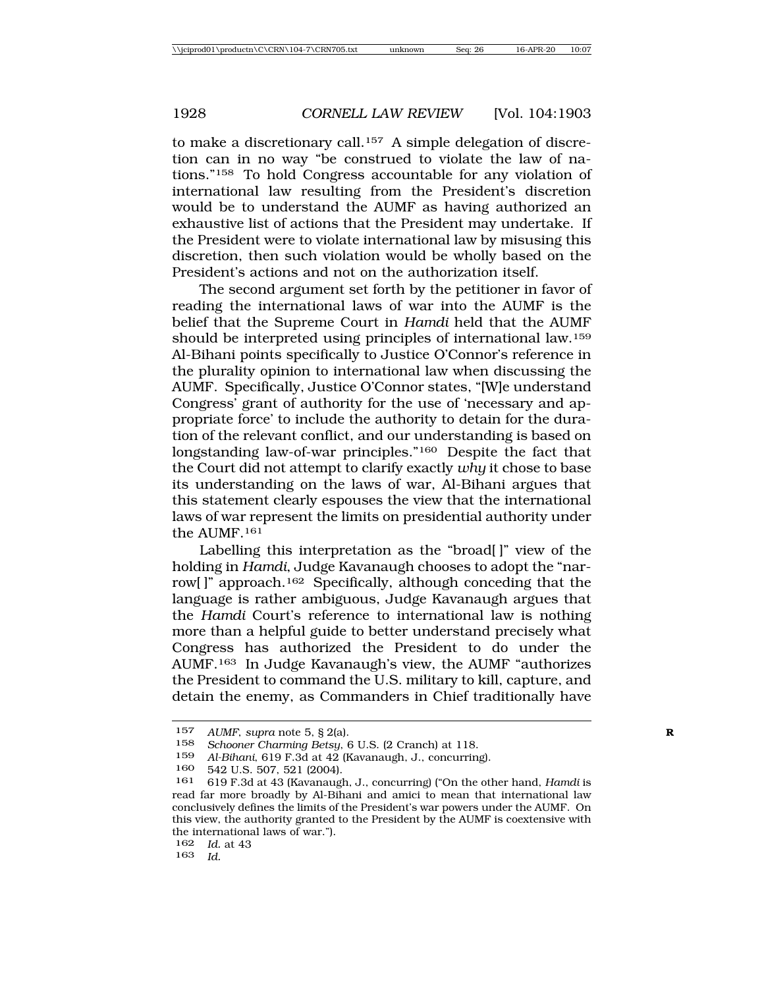to make a discretionary call.<sup>157</sup> A simple delegation of discretion can in no way "be construed to violate the law of nations."158 To hold Congress accountable for any violation of international law resulting from the President's discretion would be to understand the AUMF as having authorized an exhaustive list of actions that the President may undertake. If the President were to violate international law by misusing this discretion, then such violation would be wholly based on the President's actions and not on the authorization itself.

The second argument set forth by the petitioner in favor of reading the international laws of war into the AUMF is the belief that the Supreme Court in *Hamdi* held that the AUMF should be interpreted using principles of international law.159 Al-Bihani points specifically to Justice O'Connor's reference in the plurality opinion to international law when discussing the AUMF. Specifically, Justice O'Connor states, "[W]e understand Congress' grant of authority for the use of 'necessary and appropriate force' to include the authority to detain for the duration of the relevant conflict, and our understanding is based on longstanding law-of-war principles."160 Despite the fact that the Court did not attempt to clarify exactly *why* it chose to base its understanding on the laws of war, Al-Bihani argues that this statement clearly espouses the view that the international laws of war represent the limits on presidential authority under the AUMF.161

Labelling this interpretation as the "broad[ ]" view of the holding in *Hamdi*, Judge Kavanaugh chooses to adopt the "narrow[ ]" approach.162 Specifically, although conceding that the language is rather ambiguous, Judge Kavanaugh argues that the *Hamdi* Court's reference to international law is nothing more than a helpful guide to better understand precisely what Congress has authorized the President to do under the AUMF.163 In Judge Kavanaugh's view, the AUMF "authorizes the President to command the U.S. military to kill, capture, and detain the enemy, as Commanders in Chief traditionally have

```
162 Id. at 43
```

```
163 Id.
```
<sup>157</sup> *AUMF*, *supra* note 5, § 2(a).<br>158 *Schooner Charming Betsu* 

<sup>158</sup> *Schooner Charming Betsy*, 6 U.S. (2 Cranch) at 118.

<sup>159</sup> *Al-Bihani*, 619 F.3d at 42 (Kavanaugh, J., concurring).

<sup>160 542</sup> U.S. 507, 521 (2004).<br>161 619 F 3d at 43 (Kayanaud)

<sup>161</sup> 619 F.3d at 43 (Kavanaugh, J., concurring) ("On the other hand, *Hamdi* is read far more broadly by Al-Bihani and amici to mean that international law conclusively defines the limits of the President's war powers under the AUMF. On this view, the authority granted to the President by the AUMF is coextensive with the international laws of war.").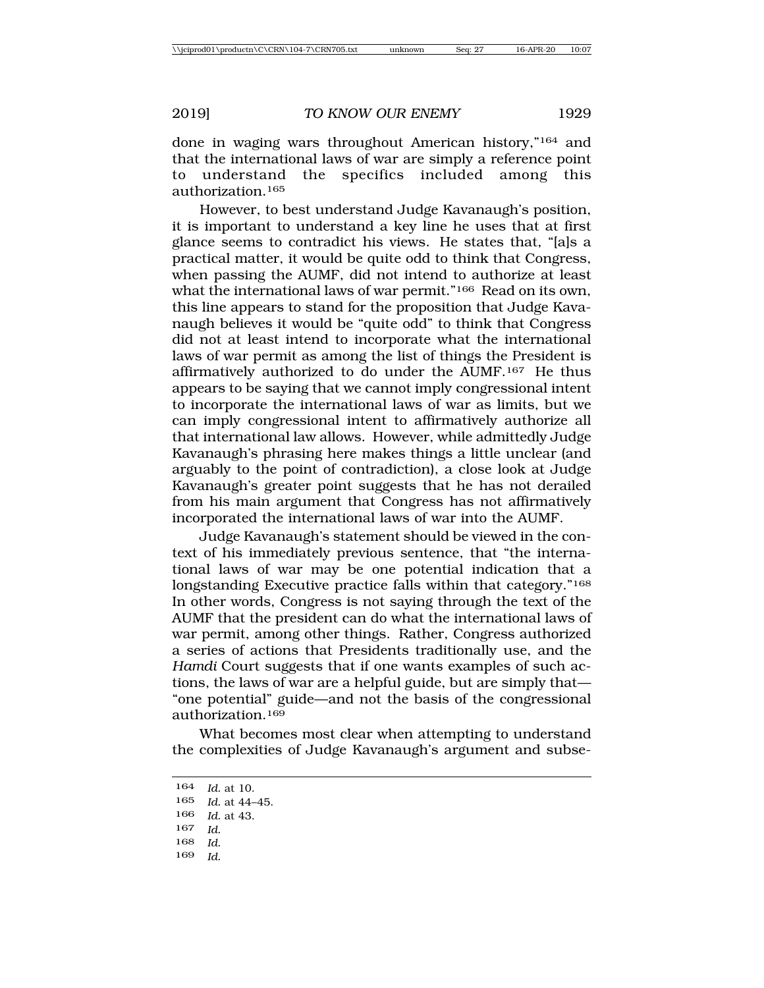done in waging wars throughout American history,"164 and that the international laws of war are simply a reference point to understand the specifics included among this authorization.165

However, to best understand Judge Kavanaugh's position, it is important to understand a key line he uses that at first glance seems to contradict his views. He states that, "[a]s a practical matter, it would be quite odd to think that Congress, when passing the AUMF, did not intend to authorize at least what the international laws of war permit."<sup>166</sup> Read on its own, this line appears to stand for the proposition that Judge Kavanaugh believes it would be "quite odd" to think that Congress did not at least intend to incorporate what the international laws of war permit as among the list of things the President is affirmatively authorized to do under the AUMF.167 He thus appears to be saying that we cannot imply congressional intent to incorporate the international laws of war as limits, but we can imply congressional intent to affirmatively authorize all that international law allows. However, while admittedly Judge Kavanaugh's phrasing here makes things a little unclear (and arguably to the point of contradiction), a close look at Judge Kavanaugh's greater point suggests that he has not derailed from his main argument that Congress has not affirmatively incorporated the international laws of war into the AUMF.

Judge Kavanaugh's statement should be viewed in the context of his immediately previous sentence, that "the international laws of war may be one potential indication that a longstanding Executive practice falls within that category."168 In other words, Congress is not saying through the text of the AUMF that the president can do what the international laws of war permit, among other things. Rather, Congress authorized a series of actions that Presidents traditionally use, and the *Hamdi* Court suggests that if one wants examples of such actions, the laws of war are a helpful guide, but are simply that— "one potential" guide—and not the basis of the congressional authorization.169

What becomes most clear when attempting to understand the complexities of Judge Kavanaugh's argument and subse-

- 168 *Id.*
- 169 *Id.*

<sup>164</sup> *Id.* at 10.

<sup>165</sup> *Id.* at 44–45.

<sup>166</sup> *Id.* at 43.

<sup>167</sup> *Id.*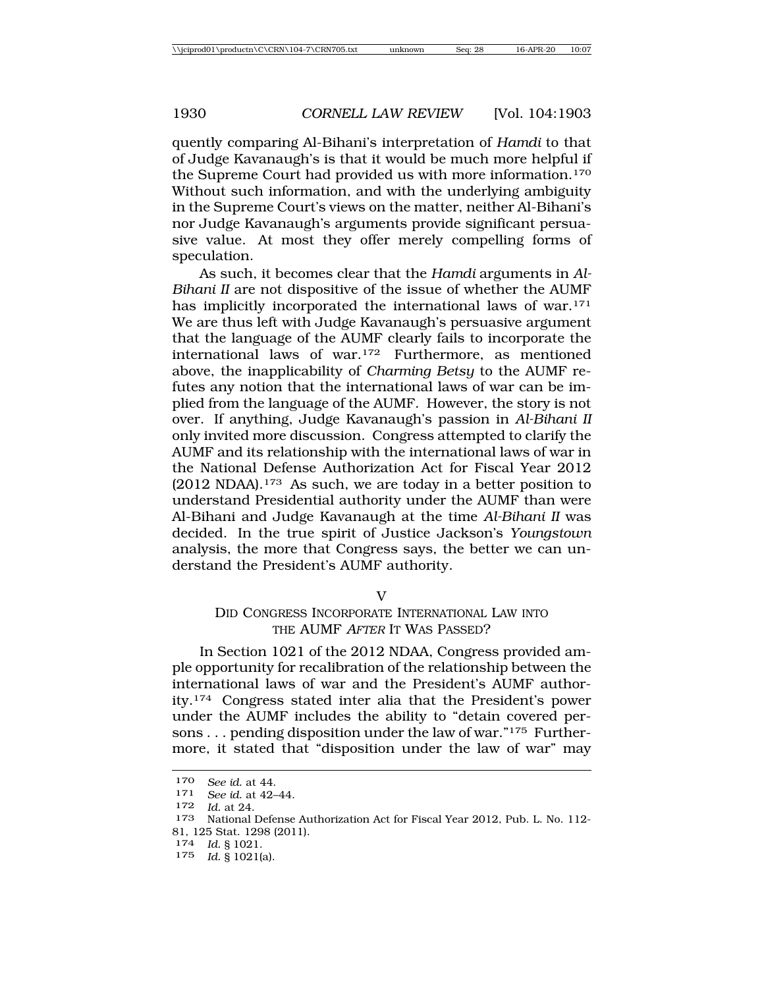quently comparing Al-Bihani's interpretation of *Hamdi* to that of Judge Kavanaugh's is that it would be much more helpful if the Supreme Court had provided us with more information.170 Without such information, and with the underlying ambiguity in the Supreme Court's views on the matter, neither Al-Bihani's nor Judge Kavanaugh's arguments provide significant persuasive value. At most they offer merely compelling forms of speculation.

As such, it becomes clear that the *Hamdi* arguments in *Al-Bihani II* are not dispositive of the issue of whether the AUMF has implicitly incorporated the international laws of war.171 We are thus left with Judge Kavanaugh's persuasive argument that the language of the AUMF clearly fails to incorporate the international laws of war.172 Furthermore, as mentioned above, the inapplicability of *Charming Betsy* to the AUMF refutes any notion that the international laws of war can be implied from the language of the AUMF. However, the story is not over. If anything, Judge Kavanaugh's passion in *Al-Bihani II* only invited more discussion. Congress attempted to clarify the AUMF and its relationship with the international laws of war in the National Defense Authorization Act for Fiscal Year 2012  $(2012 \text{ NDAA}).$ <sup>173</sup> As such, we are today in a better position to understand Presidential authority under the AUMF than were Al-Bihani and Judge Kavanaugh at the time *Al-Bihani II* was decided. In the true spirit of Justice Jackson's *Youngstown* analysis, the more that Congress says, the better we can understand the President's AUMF authority.

V

### DID CONGRESS INCORPORATE INTERNATIONAL LAW INTO THE AUMF AFTER IT WAS PASSED?

In Section 1021 of the 2012 NDAA, Congress provided ample opportunity for recalibration of the relationship between the international laws of war and the President's AUMF authority.174 Congress stated inter alia that the President's power under the AUMF includes the ability to "detain covered persons . . . pending disposition under the law of war."175 Furthermore, it stated that "disposition under the law of war" may

174 *Id.* § 1021.

<sup>170</sup> *See id.* at 44. <sup>171</sup> *See id.* at 42–44.

<sup>172</sup> *Id.* at 24.

<sup>173</sup> National Defense Authorization Act for Fiscal Year 2012, Pub. L. No. 112- 81, 125 Stat. 1298 (2011).

<sup>175</sup> *Id.* § 1021(a).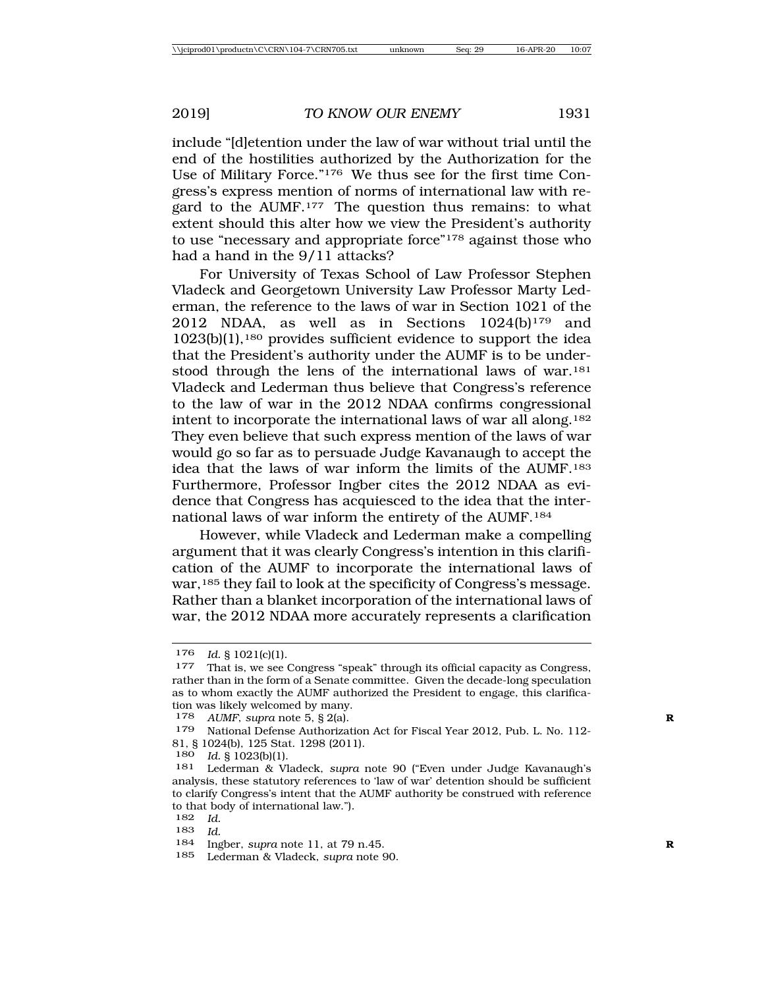include "[d]etention under the law of war without trial until the end of the hostilities authorized by the Authorization for the Use of Military Force."176 We thus see for the first time Congress's express mention of norms of international law with regard to the AUMF.177 The question thus remains: to what extent should this alter how we view the President's authority to use "necessary and appropriate force"178 against those who had a hand in the 9/11 attacks?

For University of Texas School of Law Professor Stephen Vladeck and Georgetown University Law Professor Marty Lederman, the reference to the laws of war in Section 1021 of the 2012 NDAA, as well as in Sections  $1024(b)^{179}$  and 1023(b)(1),180 provides sufficient evidence to support the idea that the President's authority under the AUMF is to be understood through the lens of the international laws of war.<sup>181</sup> Vladeck and Lederman thus believe that Congress's reference to the law of war in the 2012 NDAA confirms congressional intent to incorporate the international laws of war all along.182 They even believe that such express mention of the laws of war would go so far as to persuade Judge Kavanaugh to accept the idea that the laws of war inform the limits of the AUMF.183 Furthermore, Professor Ingber cites the 2012 NDAA as evidence that Congress has acquiesced to the idea that the international laws of war inform the entirety of the AUMF.184

However, while Vladeck and Lederman make a compelling argument that it was clearly Congress's intention in this clarification of the AUMF to incorporate the international laws of war,185 they fail to look at the specificity of Congress's message. Rather than a blanket incorporation of the international laws of war, the 2012 NDAA more accurately represents a clarification

- 182 *Id.*
- 183 *Id.*

185 Lederman & Vladeck, *supra* note 90.

<sup>176</sup> *Id.* § 1021(c)(1).<br><sup>177</sup> That is, we see Congress "speak" through its official capacity as Congress, rather than in the form of a Senate committee. Given the decade-long speculation as to whom exactly the AUMF authorized the President to engage, this clarification was likely welcomed by many.

<sup>178</sup> *AUMF*, *supra* note 5, § 2(a). **R**

<sup>179</sup> National Defense Authorization Act for Fiscal Year 2012, Pub. L. No. 112- 81, § 1024(b), 125 Stat. 1298 (2011).<br>180  $\overline{d}$  8 1023(b)(1)

*Id.* § 1023(b)(1).

<sup>181</sup> Lederman & Vladeck, *supra* note 90 ("Even under Judge Kavanaugh's analysis, these statutory references to 'law of war' detention should be sufficient to clarify Congress's intent that the AUMF authority be construed with reference to that body of international law.").

<sup>184</sup> Ingber, *supra* note 11, at 79 n.45. **R**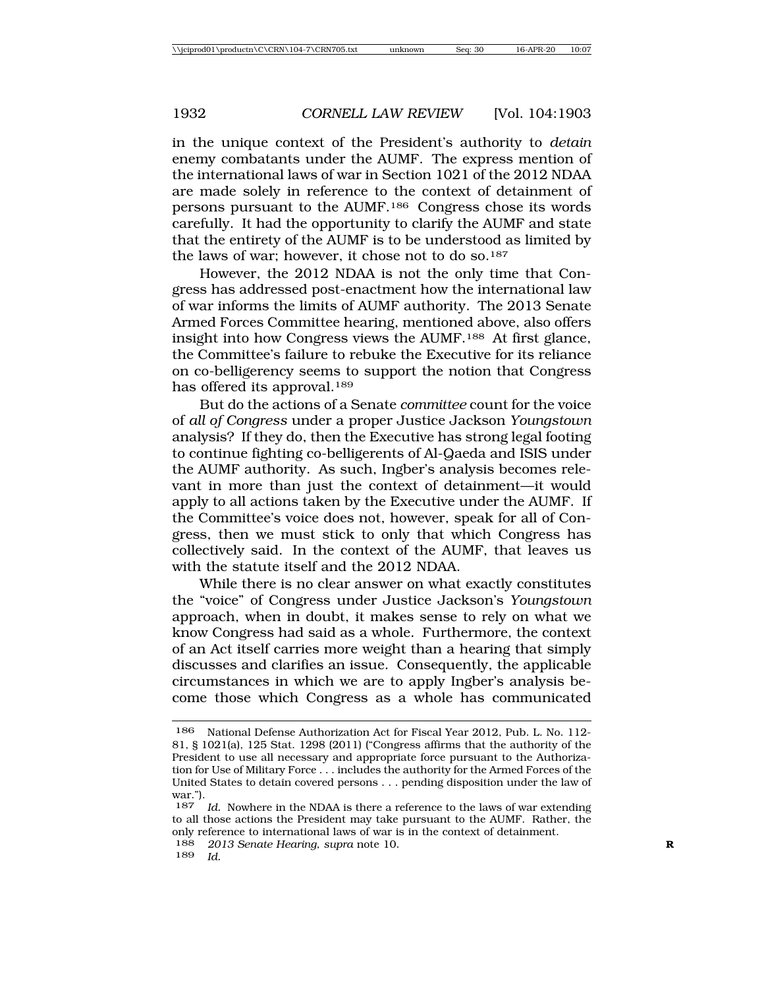in the unique context of the President's authority to *detain* enemy combatants under the AUMF. The express mention of the international laws of war in Section 1021 of the 2012 NDAA are made solely in reference to the context of detainment of persons pursuant to the AUMF.186 Congress chose its words carefully. It had the opportunity to clarify the AUMF and state that the entirety of the AUMF is to be understood as limited by the laws of war; however, it chose not to do so.187

However, the 2012 NDAA is not the only time that Congress has addressed post-enactment how the international law of war informs the limits of AUMF authority. The 2013 Senate Armed Forces Committee hearing, mentioned above, also offers insight into how Congress views the AUMF.188 At first glance, the Committee's failure to rebuke the Executive for its reliance on co-belligerency seems to support the notion that Congress has offered its approval.<sup>189</sup>

But do the actions of a Senate *committee* count for the voice of *all of Congress* under a proper Justice Jackson *Youngstown* analysis? If they do, then the Executive has strong legal footing to continue fighting co-belligerents of Al-Qaeda and ISIS under the AUMF authority. As such, Ingber's analysis becomes relevant in more than just the context of detainment—it would apply to all actions taken by the Executive under the AUMF. If the Committee's voice does not, however, speak for all of Congress, then we must stick to only that which Congress has collectively said. In the context of the AUMF, that leaves us with the statute itself and the 2012 NDAA.

While there is no clear answer on what exactly constitutes the "voice" of Congress under Justice Jackson's *Youngstown* approach, when in doubt, it makes sense to rely on what we know Congress had said as a whole. Furthermore, the context of an Act itself carries more weight than a hearing that simply discusses and clarifies an issue. Consequently, the applicable circumstances in which we are to apply Ingber's analysis become those which Congress as a whole has communicated

189 *Id.*

<sup>186</sup> National Defense Authorization Act for Fiscal Year 2012, Pub. L. No. 112- 81, § 1021(a), 125 Stat. 1298 (2011) ("Congress affirms that the authority of the President to use all necessary and appropriate force pursuant to the Authorization for Use of Military Force . . . includes the authority for the Armed Forces of the United States to detain covered persons . . . pending disposition under the law of war.").

<sup>187</sup> *Id.* Nowhere in the NDAA is there a reference to the laws of war extending to all those actions the President may take pursuant to the AUMF. Rather, the only reference to international laws of war is in the context of detainment.

<sup>188</sup> *2013 Senate Hearing*, *supra* note 10. **R**